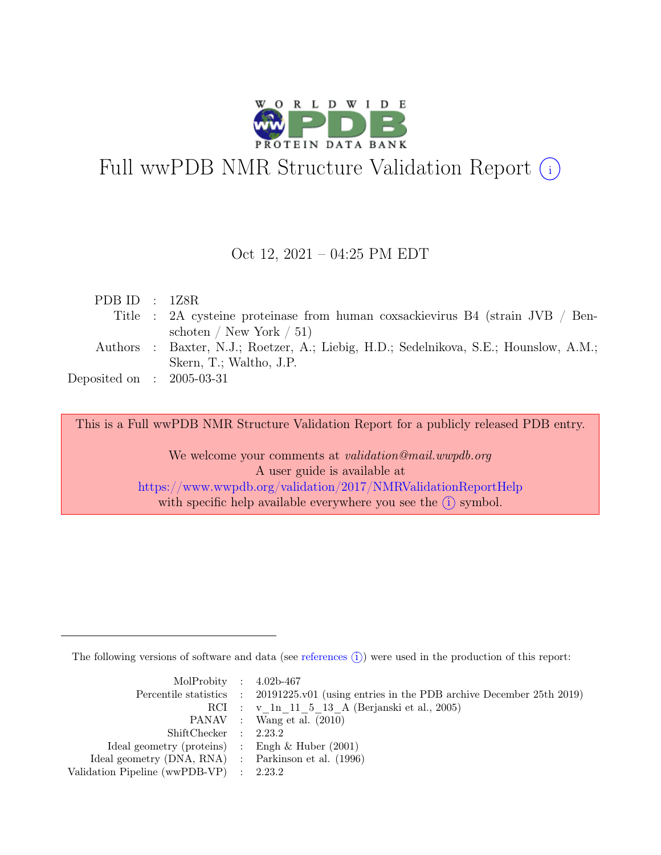

# Full wwPDB NMR Structure Validation Report (i)

## Oct 12, 2021 – 04:25 PM EDT

| PDB ID : $1Z8R$             |                                                                                       |
|-----------------------------|---------------------------------------------------------------------------------------|
|                             | Title : 2A cysteine proteinase from human coxsackievirus B4 (strain JVB / Ben-        |
|                             | schoten / New York $/ 51$ )                                                           |
|                             | Authors : Baxter, N.J.; Roetzer, A.; Liebig, H.D.; Sedelnikova, S.E.; Hounslow, A.M.; |
|                             | Skern, T.; Waltho, J.P.                                                               |
| Deposited on : $2005-03-31$ |                                                                                       |
|                             |                                                                                       |

This is a Full wwPDB NMR Structure Validation Report for a publicly released PDB entry.

We welcome your comments at *validation@mail.wwpdb.org* A user guide is available at <https://www.wwpdb.org/validation/2017/NMRValidationReportHelp> with specific help available everywhere you see the  $(i)$  symbol.

The following versions of software and data (see [references](https://www.wwpdb.org/validation/2017/NMRValidationReportHelp#references)  $\hat{I}$ ) were used in the production of this report:

| MolProbity : $4.02b-467$                            |                                                                                            |
|-----------------------------------------------------|--------------------------------------------------------------------------------------------|
|                                                     | Percentile statistics : 20191225.v01 (using entries in the PDB archive December 25th 2019) |
|                                                     | RCI : v 1n 11 5 13 A (Berjanski et al., 2005)                                              |
|                                                     | PANAV : Wang et al. (2010)                                                                 |
| ShiftChecker : 2.23.2                               |                                                                                            |
| Ideal geometry (proteins) : Engh $\&$ Huber (2001)  |                                                                                            |
| Ideal geometry (DNA, RNA) : Parkinson et al. (1996) |                                                                                            |
| Validation Pipeline (wwPDB-VP) : 2.23.2             |                                                                                            |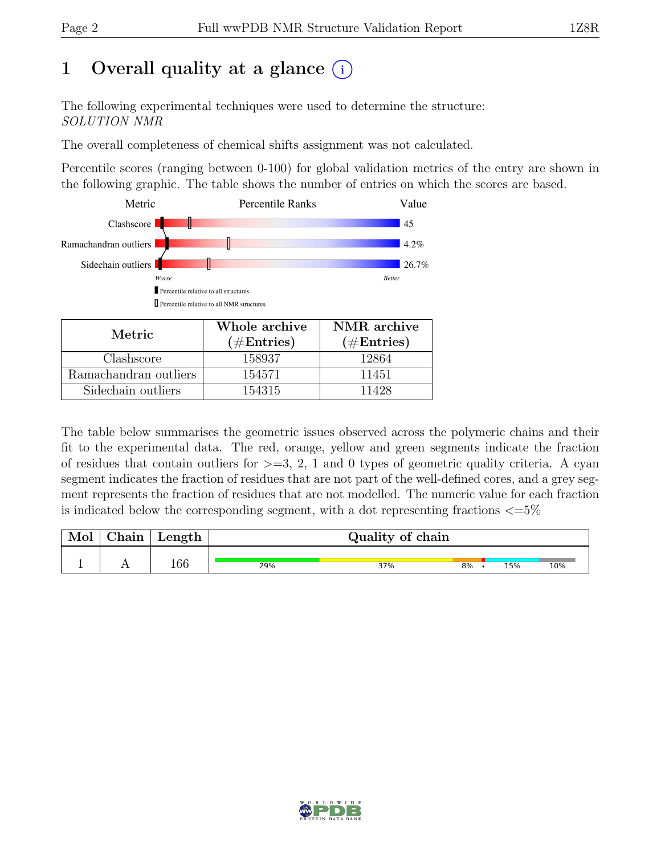## 1 Overall quality at a glance  $(i)$

The following experimental techniques were used to determine the structure: SOLUTION NMR

The overall completeness of chemical shifts assignment was not calculated.

Percentile scores (ranging between 0-100) for global validation metrics of the entry are shown in the following graphic. The table shows the number of entries on which the scores are based.



| Metric.               | Whole archive<br>$(\#Entries)$ | NMR archive<br>$(\#Entries)$ |
|-----------------------|--------------------------------|------------------------------|
| Clashscore            | 158937                         | 12864                        |
| Ramachandran outliers | 154571                         | 11451                        |
| Sidechain outliers    | 154315                         | 11428                        |

The table below summarises the geometric issues observed across the polymeric chains and their fit to the experimental data. The red, orange, yellow and green segments indicate the fraction of residues that contain outliers for  $>=$  3, 2, 1 and 0 types of geometric quality criteria. A cyan segment indicates the fraction of residues that are not part of the well-defined cores, and a grey segment represents the fraction of residues that are not modelled. The numeric value for each fraction is indicated below the corresponding segment, with a dot representing fractions  $\langle=5\%$ 

| Mol | $\perp$ Chain $\perp$ | $\perp$ Length $\perp$ |     | Quality of chain |    |  |     |     |  |
|-----|-----------------------|------------------------|-----|------------------|----|--|-----|-----|--|
|     |                       | 166                    | 29% | 37%              | 8% |  | 15% | 10% |  |

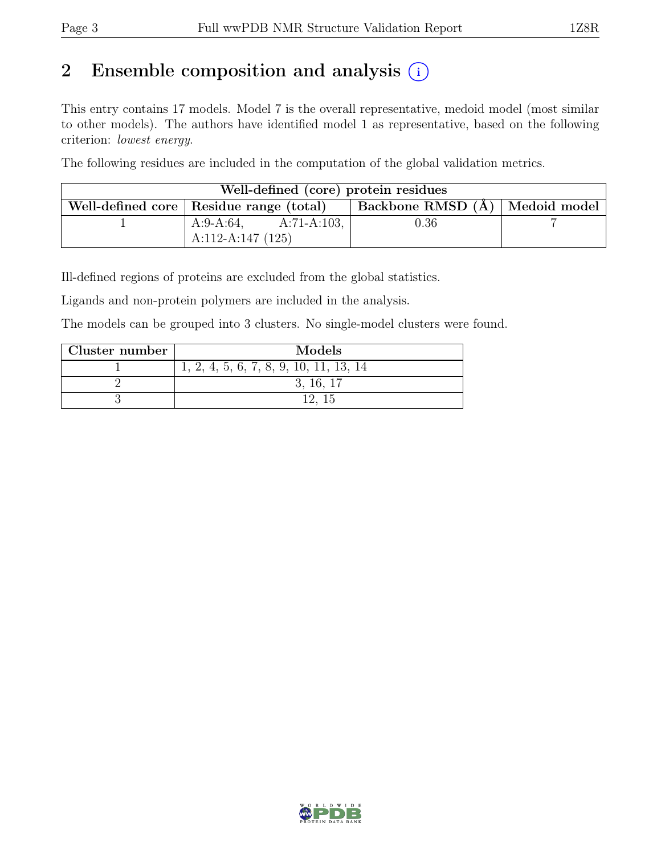## 2 Ensemble composition and analysis  $(i)$

This entry contains 17 models. Model 7 is the overall representative, medoid model (most similar to other models). The authors have identified model 1 as representative, based on the following criterion: lowest energy.

The following residues are included in the computation of the global validation metrics.

| Well-defined (core) protein residues |                                           |                                  |  |  |  |  |  |
|--------------------------------------|-------------------------------------------|----------------------------------|--|--|--|--|--|
|                                      | Well-defined core   Residue range (total) | Backbone RMSD (Å)   Medoid model |  |  |  |  |  |
|                                      | A:9-A:64,<br>$A:71-A:103$ ,               | $\rm 0.36$                       |  |  |  |  |  |
|                                      | A:112-A:147 $(125)$                       |                                  |  |  |  |  |  |

Ill-defined regions of proteins are excluded from the global statistics.

Ligands and non-protein polymers are included in the analysis.

The models can be grouped into 3 clusters. No single-model clusters were found.

| Cluster number | Models                                   |
|----------------|------------------------------------------|
|                | $1, 2, 4, 5, 6, 7, 8, 9, 10, 11, 13, 14$ |
|                | 3, 16, 17                                |
|                |                                          |

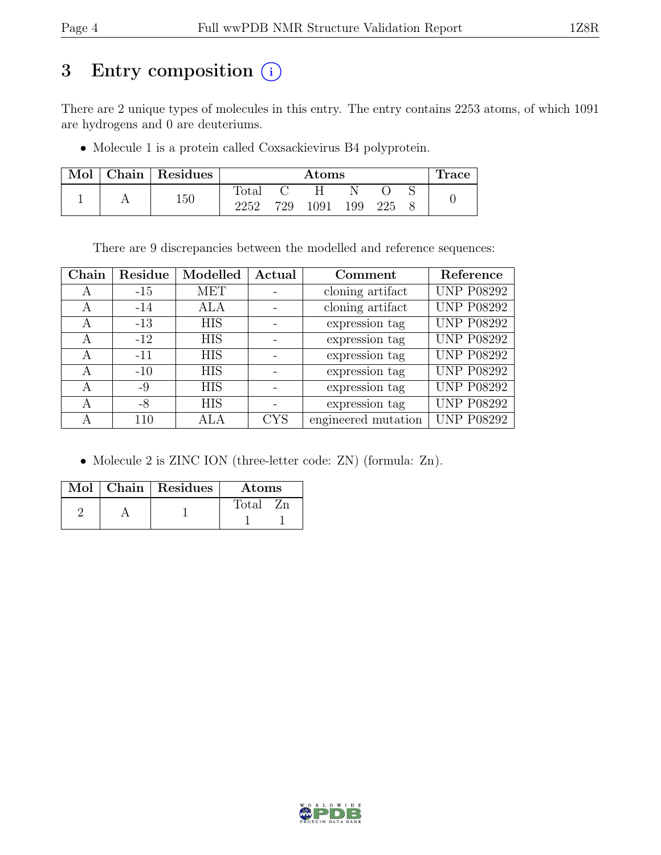## 3 Entry composition (i)

There are 2 unique types of molecules in this entry. The entry contains 2253 atoms, of which 1091 are hydrogens and 0 are deuteriums.

• Molecule 1 is a protein called Coxsackievirus B4 polyprotein.

| Mol |     | Chain Residues |                | $\rm{Atoms}$ |     |     |  |  | 'race |
|-----|-----|----------------|----------------|--------------|-----|-----|--|--|-------|
|     |     |                | $\text{Total}$ |              |     |     |  |  |       |
|     | 150 | 2252           | 729            | 1091         | 199 | 225 |  |  |       |

There are 9 discrepancies between the modelled and reference sequences:

| Chain | Residue | Modelled   | Actual     | Comment             | Reference         |
|-------|---------|------------|------------|---------------------|-------------------|
| A     | $-15$   | MET        |            | cloning artifact    | <b>UNP P08292</b> |
| A     | $-14$   | ALA        |            | cloning artifact    | <b>UNP P08292</b> |
| A     | $-13$   | <b>HIS</b> |            | expression tag      | <b>UNP P08292</b> |
| A     | $-12$   | <b>HIS</b> |            | expression tag      | <b>UNP P08292</b> |
| A     | $-11$   | <b>HIS</b> |            | expression tag      | <b>UNP P08292</b> |
| A     | $-10$   | <b>HIS</b> |            | expression tag      | <b>UNP P08292</b> |
| A     | -9      | <b>HIS</b> |            | expression tag      | <b>UNP P08292</b> |
| A     | -8      | <b>HIS</b> |            | expression tag      | <b>UNP P08292</b> |
|       | 110     |            | <b>CYS</b> | engineered mutation | <b>UNP P08292</b> |

• Molecule 2 is ZINC ION (three-letter code: ZN) (formula: Zn).

|  | Mol   Chain   Residues | Atoms |
|--|------------------------|-------|
|  |                        | Total |

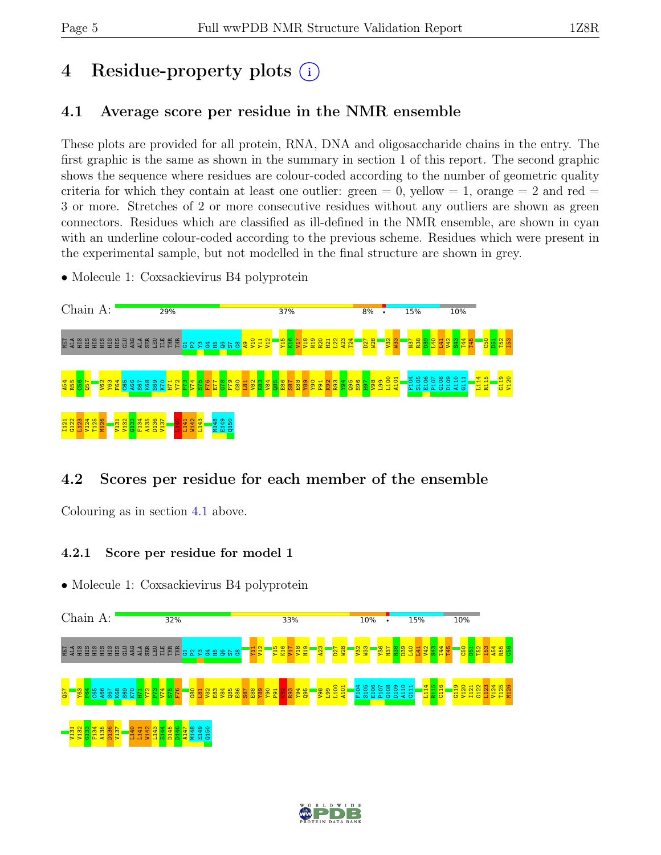# 4 Residue-property plots (i)

## <span id="page-4-0"></span>4.1 Average score per residue in the NMR ensemble

These plots are provided for all protein, RNA, DNA and oligosaccharide chains in the entry. The first graphic is the same as shown in the summary in section 1 of this report. The second graphic shows the sequence where residues are colour-coded according to the number of geometric quality criteria for which they contain at least one outlier:  $green = 0$ ,  $yellow = 1$ ,  $orange = 2$  and  $red =$ 3 or more. Stretches of 2 or more consecutive residues without any outliers are shown as green connectors. Residues which are classified as ill-defined in the NMR ensemble, are shown in cyan with an underline colour-coded according to the previous scheme. Residues which were present in the experimental sample, but not modelled in the final structure are shown in grey.

• Molecule 1: Coxsackievirus B4 polyprotein



## 4.2 Scores per residue for each member of the ensemble

Colouring as in section [4.1](#page-4-0) above.

## 4.2.1 Score per residue for model 1



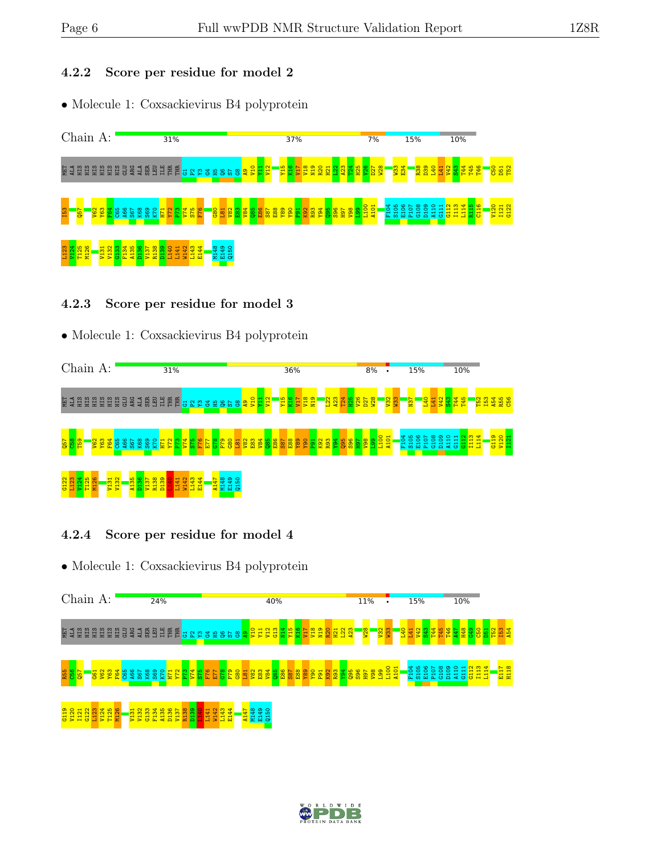## 4.2.2 Score per residue for model 2

• Molecule 1: Coxsackievirus B4 polyprotein



### 4.2.3 Score per residue for model 3

## • Molecule 1: Coxsackievirus B4 polyprotein



## 4.2.4 Score per residue for model 4



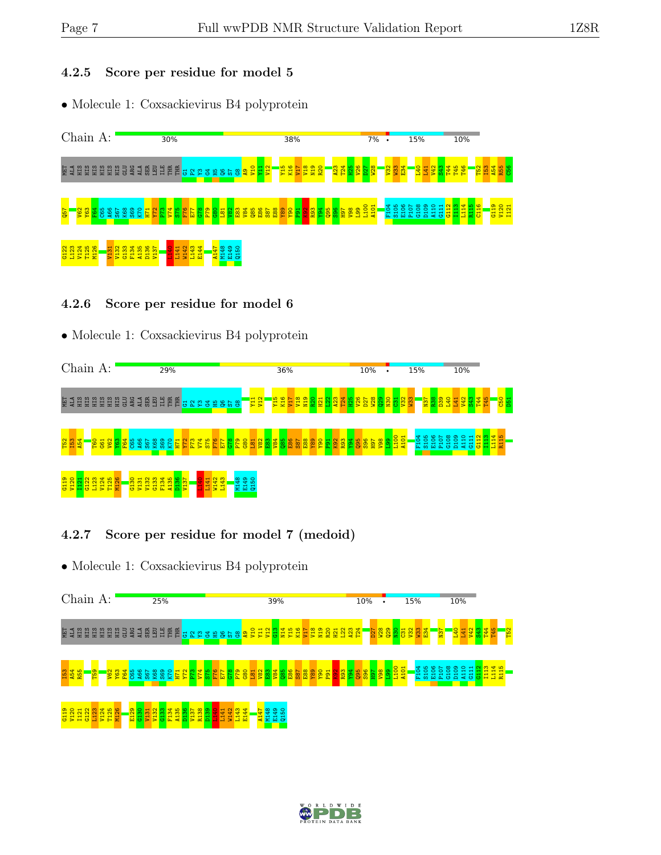#### 4.2.5 Score per residue for model 5

• Molecule 1: Coxsackievirus B4 polyprotein



### 4.2.6 Score per residue for model 6

## • Molecule 1: Coxsackievirus B4 polyprotein



## 4.2.7 Score per residue for model 7 (medoid)



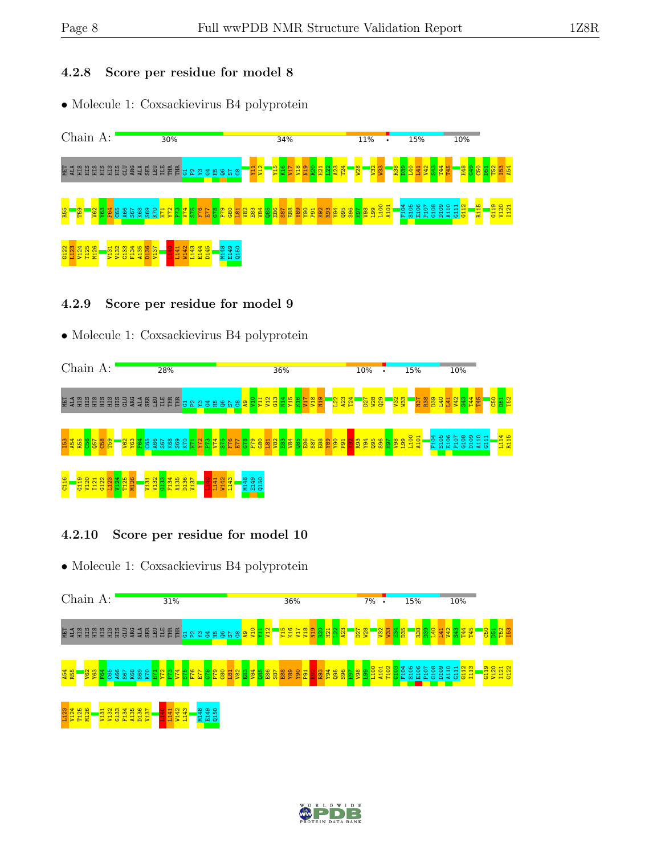## 4.2.8 Score per residue for model 8

• Molecule 1: Coxsackievirus B4 polyprotein



### 4.2.9 Score per residue for model 9

## • Molecule 1: Coxsackievirus B4 polyprotein



## 4.2.10 Score per residue for model 10



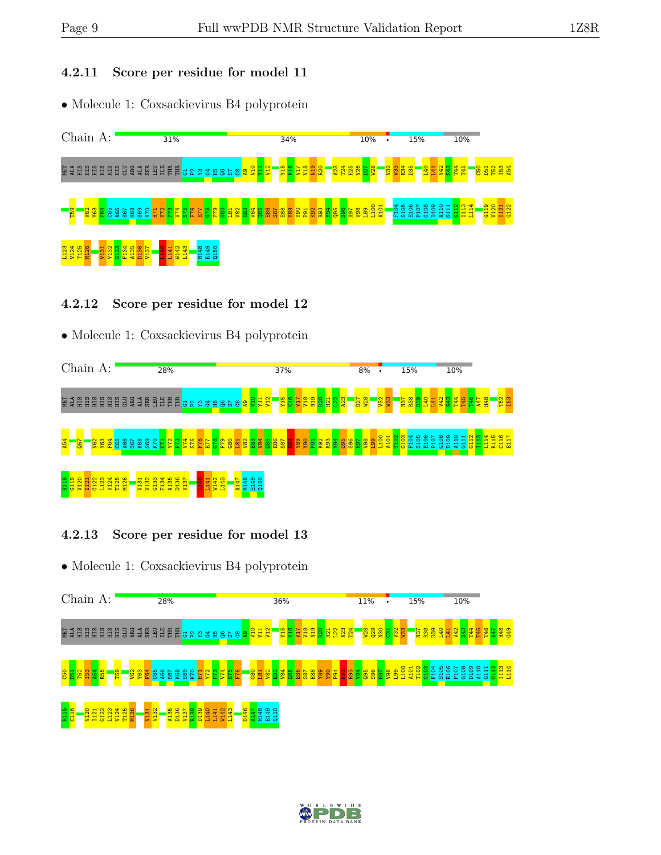#### 4.2.11 Score per residue for model 11

• Molecule 1: Coxsackievirus B4 polyprotein



## 4.2.12 Score per residue for model 12

## • Molecule 1: Coxsackievirus B4 polyprotein



## 4.2.13 Score per residue for model 13



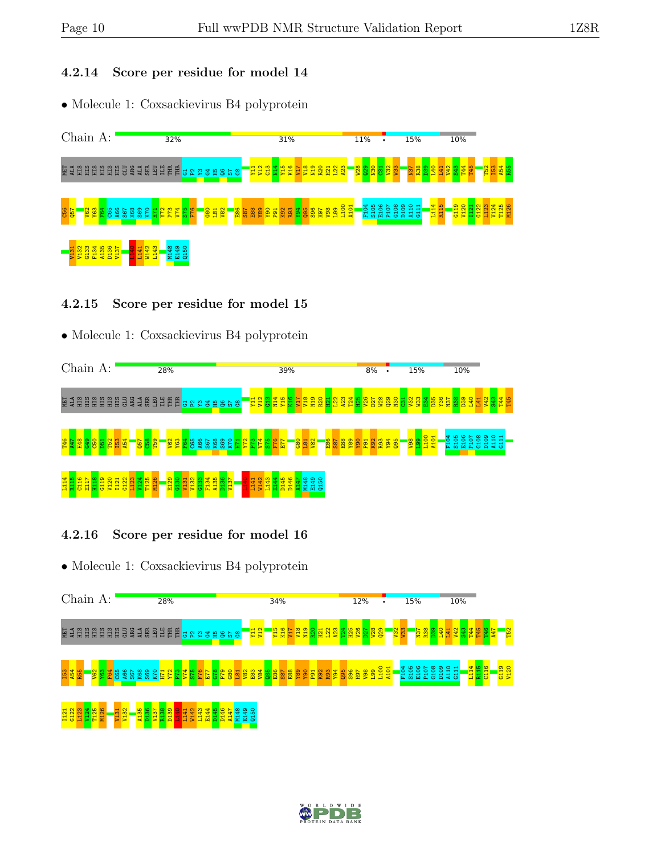#### 4.2.14 Score per residue for model 14

• Molecule 1: Coxsackievirus B4 polyprotein



## 4.2.15 Score per residue for model 15

## • Molecule 1: Coxsackievirus B4 polyprotein



## 4.2.16 Score per residue for model 16



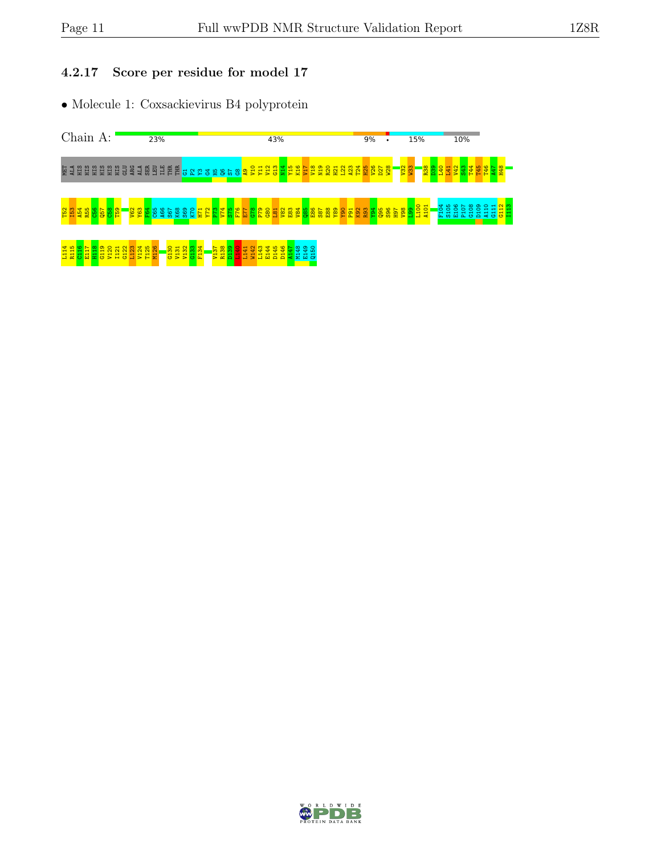## 4.2.17 Score per residue for model 17



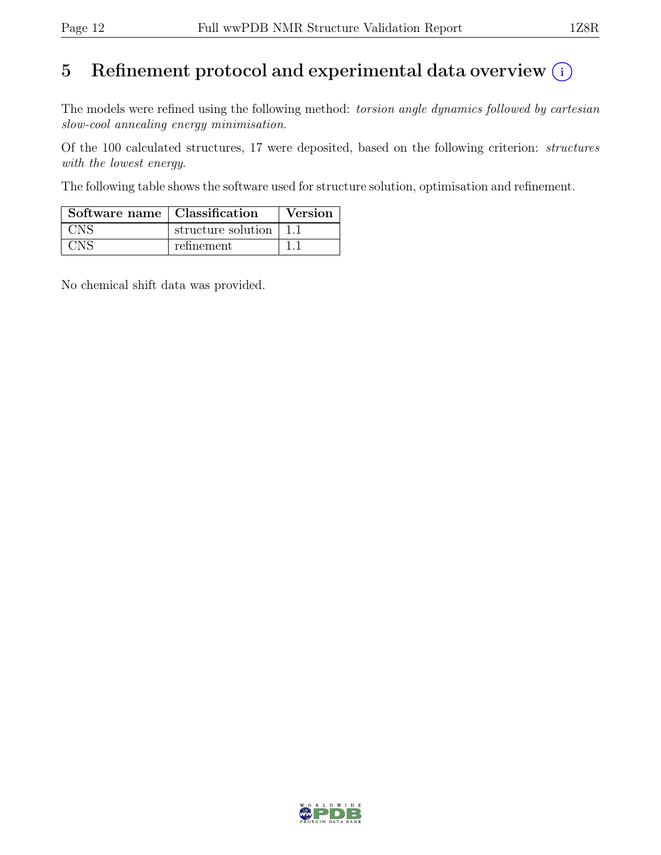## 5 Refinement protocol and experimental data overview  $\odot$

The models were refined using the following method: torsion angle dynamics followed by cartesian slow-cool annealing energy minimisation.

Of the 100 calculated structures, 17 were deposited, based on the following criterion: structures with the lowest energy.

The following table shows the software used for structure solution, optimisation and refinement.

| Software name   Classification |                    | Version |
|--------------------------------|--------------------|---------|
| CNS                            | structure solution |         |
| $\mathbf{N}^{\mathbf{C}}$      | refinement         |         |

No chemical shift data was provided.

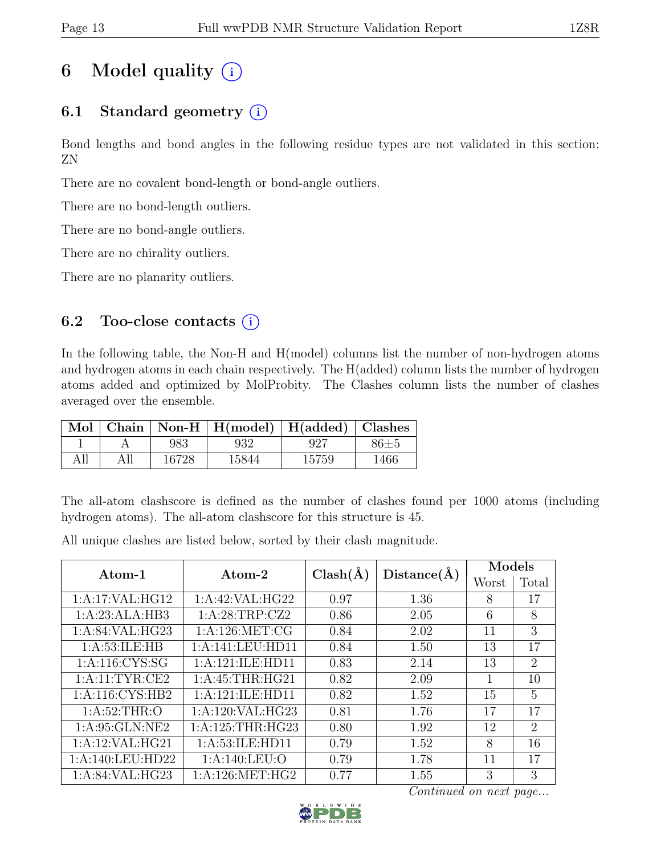## 6 Model quality  $(i)$

## 6.1 Standard geometry  $(i)$

Bond lengths and bond angles in the following residue types are not validated in this section: ZN

There are no covalent bond-length or bond-angle outliers.

There are no bond-length outliers.

There are no bond-angle outliers.

There are no chirality outliers.

There are no planarity outliers.

## 6.2 Too-close contacts  $(i)$

In the following table, the Non-H and H(model) columns list the number of non-hydrogen atoms and hydrogen atoms in each chain respectively. The H(added) column lists the number of hydrogen atoms added and optimized by MolProbity. The Clashes column lists the number of clashes averaged over the ensemble.

| Mol |       | Chain   Non-H   $H(model)$   $H(added)$   Clashes |       |          |
|-----|-------|---------------------------------------------------|-------|----------|
|     | 983   | 932                                               | 927   | $86 + 5$ |
| All | 16728 | 15844                                             | 15759 | 1466     |

The all-atom clashscore is defined as the number of clashes found per 1000 atoms (including hydrogen atoms). The all-atom clashscore for this structure is 45.

All unique clashes are listed below, sorted by their clash magnitude.

| Atom-1             | Atom- $2$          | $Clash(\AA)$ | Distance(A) | Models |                |
|--------------------|--------------------|--------------|-------------|--------|----------------|
|                    |                    |              |             | Worst  | Total          |
| 1:A:17:VAL:HG12    | 1:A:42:VAL:HG22    | 0.97         | 1.36        | 8      | 17             |
| 1:A:23:ALA:HB3     | 1:A:28:TRP:CZ2     | 0.86         | 2.05        | 6      | 8              |
| 1: A:84:VAL:HG23   | 1: A:126: MET:CG   | 0.84         | 2.02        | 11     | 3              |
| 1: A:53: ILE: HB   | 1:A:141:LEU:HD11   | 0.84         | 1.50        | 13     | 17             |
| 1: A: 116: CYS: SG | 1:A:121:ILE:HD11   | 0.83         | 2.14        | 13     | $\overline{2}$ |
| 1:A:11:TYR:CE2     | 1: A:45:THR:HG21   | 0.82         | 2.09        | 1      | 10             |
| 1: A:116: CYS:HB2  | 1:A:121:ILE:HD11   | 0.82         | 1.52        | 15     | 5              |
| 1: A:52:THR:O      | 1:A:120:VAL:HG23   | 0.81         | 1.76        | 17     | 17             |
| 1: A:95: GLN:NE2   | 1: A:125:THR:HG23  | 0.80         | 1.92        | 12     | $\overline{2}$ |
| 1:A:12:VAL:HG21    | 1: A:53: ILE: HD11 | 0.79         | 1.52        | 8      | 16             |
| 1:A:140:LEU:HD22   | 1: A:140: LEU:O    | 0.79         | 1.78        | 11     | 17             |
| 1: A:84:VAL:HG23   | 1: A:126: MET:HG2  | 0.77         | 1.55        | 3      | 3              |

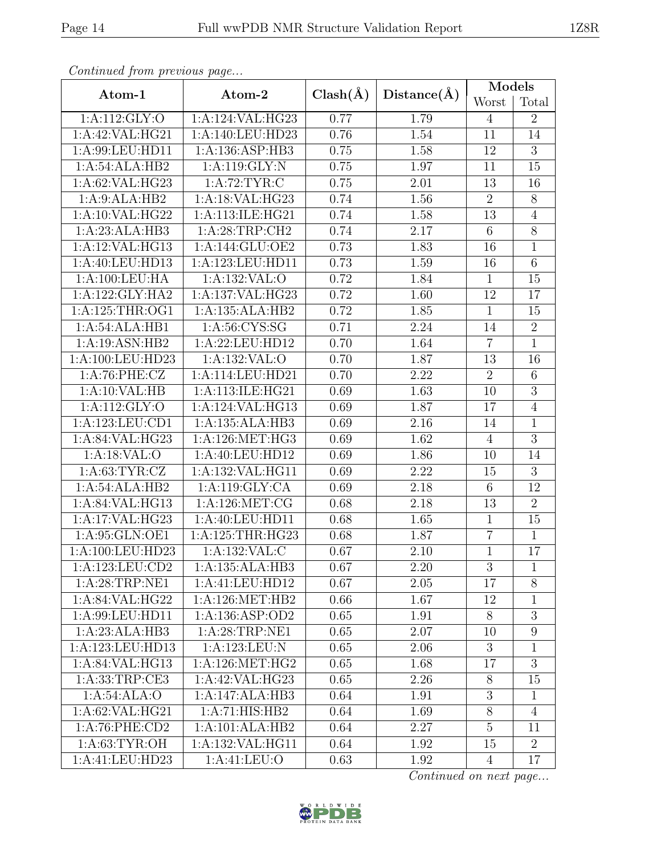| Continuale from previous page                  |                             |              |                   | <b>Models</b>  |                |  |
|------------------------------------------------|-----------------------------|--------------|-------------------|----------------|----------------|--|
| Atom-1                                         | Atom-2                      | $Clash(\AA)$ | Distance(A)       | Worst          | Total          |  |
| 1:A:112:GLY:O                                  | 1:A:124:VAL:HG23            | 0.77         | 1.79              | $\overline{4}$ | $\overline{2}$ |  |
| 1:A:42:VAL:HG21                                | 1:A:140:LEU:HD23            | 0.76         | 1.54              | 11             | 14             |  |
| 1:A:99:LEU:HD11                                | 1:A:136:ASP:HB3             | 0.75         | 1.58              | 12             | 3              |  |
| 1:A:54:ALA:HB2                                 | 1:A:119:GLY:N               | 0.75         | 1.97              | 11             | 15             |  |
| 1:A:62:VAL:HG23                                | 1: A:72:TYR:C               | 0.75         | 2.01              | 13             | 16             |  |
| 1:A:9:ALA:HB2                                  | 1:A:18:VAL:HG23             | 0.74         | 1.56              | $\overline{2}$ | $8\,$          |  |
| 1:A:10:VAL:HG22                                | 1:A:113:ILE:HG21            | 0.74         | 1.58              | 13             | $\overline{4}$ |  |
| 1:A:23:ALA:HB3                                 | 1: A:28:TRP:CH2             | 0.74         | 2.17              | $\,6\,$        | $8\,$          |  |
| 1:A:12:VAL:HG13                                | 1:A:144:GLU:OE2             | 0.73         | 1.83              | 16             | $\overline{1}$ |  |
| 1:A:40:LEU:HD13                                | 1:A:123:LEU:HD11            | 0.73         | 1.59              | 16             | $\,6\,$        |  |
| 1:A:100:LEU:HA                                 | 1:A:132:VAL:O               | 0.72         | 1.84              | $\overline{1}$ | 15             |  |
| 1:A:122:GLY:HA2                                | 1:A:137:VAL:HG23            | 0.72         | 1.60              | 12             | 17             |  |
| 1: A:125:THR:OG1                               | 1:A:135:ALA:HB2             | 0.72         | 1.85              | $\mathbf{1}$   | 15             |  |
| 1:A:54:ALA:HB1                                 | 1: A:56: CYS:SG             | 0.71         | 2.24              | 14             | $\overline{2}$ |  |
| 1:A:19:ASN:HB2                                 | 1:A:22:LEU:HD12             | 0.70         | 1.64              | $\overline{7}$ | $\overline{1}$ |  |
| 1:A:100:LEU:HD23                               | 1:A:132:VAL:O               | 0.70         | 1.87              | 13             | 16             |  |
| 1: A:76:PHE: CZ                                | 1:A:114:LEU:HD21            | 0.70         | 2.22              | $\overline{2}$ | 6              |  |
| 1:A:10:VAL:HB                                  | 1:A:113:ILE:HG21            | 0.69         | 1.63              | 10             | $\overline{3}$ |  |
| 1:A:112:GLY:O                                  | 1:A:124:VAL:HG13            | 0.69         | 1.87              | 17             | $\overline{4}$ |  |
| 1:A:123:LEU:CD1                                | 1:A:135:ALA:HB3             | 0.69         | 2.16              | 14             | $\mathbf{1}$   |  |
| 1:A:84:VAL:HG23                                | 1: A:126: MET:HG3           | 0.69         | 1.62              | $\overline{4}$ | $\overline{3}$ |  |
| 1:A:18:VAL:O                                   | 1:A:40:LEU:HD12             | 0.69         | 1.86              | 10             | 14             |  |
| 1: A:63:TYR:CZ                                 | 1:A:132:VAL:HG11            | 0.69         | $\overline{2.22}$ | 15             | $\overline{3}$ |  |
| 1:A:54:ALA:HB2                                 | 1:A:119:GLY:CA              | 0.69         | 2.18              | $\,6\,$        | 12             |  |
| 1:A:84:VAL:HG13                                | 1: A: 126: MET: CG          | 0.68         | 2.18              | 13             | $\overline{2}$ |  |
| $1:A:17:\overline{VAL:HG23}$                   | 1:A:40:LEU:HD11             | 0.68         | 1.65              | $\overline{1}$ | 15             |  |
| 1: A:95: GLN:OE1                               | 1:A:125:THR:HG23            | 0.68         | 1.87              | $\overline{7}$ | $\mathbf 1$    |  |
| 1:A:100:LEU:HD23                               | 1: A: 132: VAL: C           | 0.67         | 2.10              | $\overline{1}$ | 17             |  |
| 1: A: 123: LEU: CD2                            | 1:A:135:ALA:HB3             | 0.67         | 2.20              | 3              | 1              |  |
| 1: A:28:TRP:NE1                                | 1:A:41:LEU:HD12             | 0.67         | 2.05              | 17             | $8\,$          |  |
| 1:A:84:VAL:HG22                                | 1:A:126:MET:HB2             | 0.66         | 1.67              | 12             | 1              |  |
| 1:A:99:LEU:HD11                                | 1:A:136:ASP:OD2             | 0.65         | 1.91              | $8\,$          | $\overline{3}$ |  |
| 1:A:23:ALA:HB3                                 | $1:A:28:TRP:\overline{NE1}$ | 0.65         | 2.07              | 10             | 9              |  |
| 1:A:123:LEU:HD13                               | 1:A:123:LEU:N               | 0.65         | 2.06              | 3              | $\mathbf{1}$   |  |
| $1:A:84:V\overline{\mathrm{AL}:\mathrm{HG}13}$ | 1: A:126: MET:HG2           | 0.65         | 1.68              | 17             | $\overline{3}$ |  |
| 1:A:33:TRP:CE3                                 | 1:A:42:VAL:HG23             | 0.65         | 2.26              | 8              | 15             |  |
| 1:A:54:ALA:O                                   | 1:A:147:ALA:HB3             | 0.64         | 1.91              | 3              | $\mathbf{1}$   |  |
| 1:A:62:VAL:HG21                                | 1:A:71:HIS:HB2              | 0.64         | 1.69              | 8              | $\overline{4}$ |  |
| 1:A:76:PHE:CD2                                 | 1:A:101:ALA:HB2             | 0.64         | 2.27              | $\overline{5}$ | 11             |  |
| 1: A:63:TYR:OH                                 | 1:A:132:VAL:HG11            | 0.64         | 1.92              | 15             | $\overline{2}$ |  |
| 1:A:41:LEU:HD23                                | 1:A:41:LEU:O                | 0.63         | 1.92              | $\overline{4}$ | 17             |  |

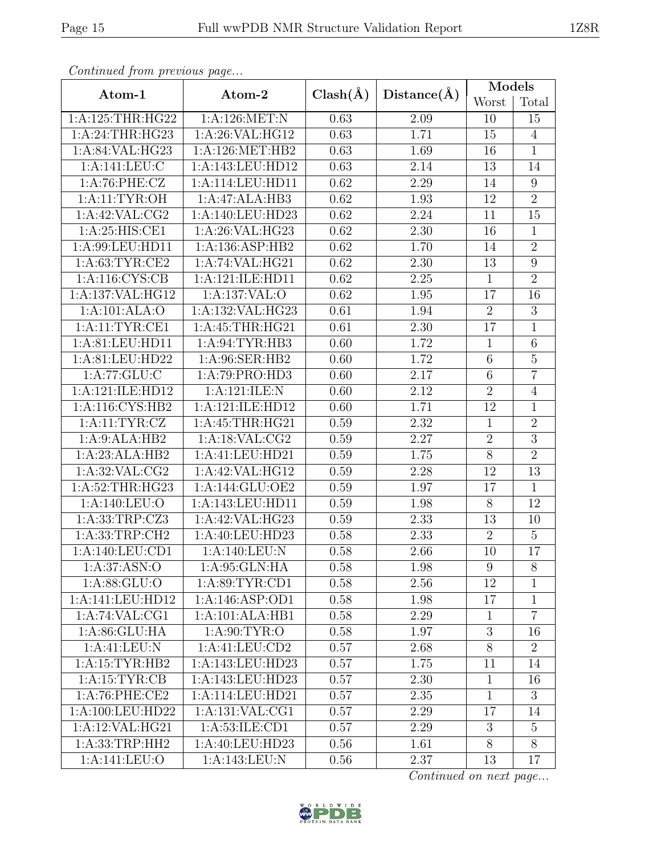| Continuum from protious page |                             |      |                   | Models         |                  |  |
|------------------------------|-----------------------------|------|-------------------|----------------|------------------|--|
| Atom-1                       | $Clash(\AA)$<br>Atom-2      |      | Distance(A)       | Worst          | Total            |  |
| 1: A:125:THR:HG22            | 1:A:126:MET:N               | 0.63 | 2.09              | 10             | 15               |  |
| 1: A:24:THR:HG23             | 1:A:26:VAL:HG12             | 0.63 | 1.71              | 15             | $\overline{4}$   |  |
| 1:A:84:VAL:HG23              | 1: A:126: MET:HB2           | 0.63 | 1.69              | 16             | $\mathbf{1}$     |  |
| 1:A:141:LEU:C                | 1:A:143:LEU:HD12            | 0.63 | 2.14              | 13             | 14               |  |
| 1:A:76:PHE:CZ                | 1:A:114:LEU:HD11            | 0.62 | 2.29              | 14             | $\boldsymbol{9}$ |  |
| 1: A:11:TYR:OH               | 1:A:47:ALA:HB3              | 0.62 | 1.93              | 12             | $\overline{2}$   |  |
| 1:A:42:VAL:CG2               | 1:A:140:LEU:HD23            | 0.62 | 2.24              | 11             | 15               |  |
| 1: A:25: HIS:CE1             | 1:A:26:VAL:HG23             | 0.62 | $2.30\,$          | 16             | $\mathbf{1}$     |  |
| 1:A:99:LEU:HD11              | 1:A:136:ASP:HB2             | 0.62 | 1.70              | 14             | $\overline{2}$   |  |
| 1: A:63:TYR:CE2              | 1:A:74:VAL:HG21             | 0.62 | 2.30              | 13             | $\boldsymbol{9}$ |  |
| 1: A:116: CYS:CB             | 1:A:121:ILE:HD11            | 0.62 | 2.25              | $\mathbf{1}$   | $\overline{2}$   |  |
| 1:A:137:VAL:HG12             | 1:A:137:VAL:O               | 0.62 | $1.95\,$          | 17             | 16               |  |
| 1:A:101:ALA:O                | 1:A:132:VAL:HG23            | 0.61 | 1.94              | $\overline{2}$ | $\overline{3}$   |  |
| 1:A:11:TYR:CE1               | 1: A: 45: THR: HG21         | 0.61 | 2.30              | 17             | $\mathbb{1}$     |  |
| 1:A:81:LEU:HD11              | 1:A:94:TYR:HB3              | 0.60 | 1.72              | $\mathbf{1}$   | 6                |  |
| 1:A:81:LEU:HD22              | 1:A:96:SER:HB2              | 0.60 | 1.72              | $\,6$          | $\overline{5}$   |  |
| 1:A:77:GLU:C                 | 1:A:79:PRO:HD3              | 0.60 | 2.17              | $\,6$          | $\overline{7}$   |  |
| 1: A:121: ILE: HD12          | 1:A:121:ILE:N               | 0.60 | $\overline{2}.12$ | $\overline{2}$ | $\overline{4}$   |  |
| 1:A:116:CYS:HB2              | 1:A:121:ILE:HD12            | 0.60 | 1.71              | 12             | $\mathbf{1}$     |  |
| 1: A: 11: TYR: CZ            | 1: A:45:THR:HG21            | 0.59 | $2.32\,$          | $\mathbf{1}$   | $\overline{2}$   |  |
| 1:A:9:ALA:HB2                | 1:A:18:VAL:CG2              | 0.59 | 2.27              | $\overline{2}$ | $\overline{3}$   |  |
| 1:A:23:ALA:HB2               | 1:A:41:LEU:HD21             | 0.59 | $1.75\,$          | $8\,$          | $\overline{2}$   |  |
| 1: A:32: VAL:CG2             | 1:A:42:VAL:HG12             | 0.59 | 2.28              | 12             | $\overline{13}$  |  |
| 1:A:52:THR:HG23              | 1:A:144:GLU:OE2             | 0.59 | 1.97              | 17             | $\overline{1}$   |  |
| 1:A:140:LEU:O                | 1:A:143:LEU:HD11            | 0.59 | 1.98              | $8\,$          | 12               |  |
| 1:A:33:TRP:CZ3               | 1:A:42:VAL:HG23             | 0.59 | 2.33              | 13             | 10               |  |
| 1:A:33:TRP:CH2               | 1:A:40:LEU:HD23             | 0.58 | 2.33              | $\sqrt{2}$     | $5\,$            |  |
| 1: A:140: LEU: CD1           | 1:A:140:LEU:N               | 0.58 | 2.66              | 10             | $\overline{17}$  |  |
| 1: A:37: ASN:O               | 1: A:95: GLN: HA            | 0.58 | 1.98              | 9              | 8                |  |
| 1: A:88: GLU:O               | 1:A:89:TYR:CD1              | 0.58 | 2.56              | 12             | 1                |  |
| 1:A:141:LEU:HD12             | 1:A:146:ASP:OD1             | 0.58 | 1.98              | 17             | $\mathbf{1}$     |  |
| 1:A:74:VAL:CG1               | 1:A:101:ALA:HB1             | 0.58 | 2.29              | $\mathbf{1}$   | $\overline{7}$   |  |
| 1:A:86:GLU:HA                | $1: A:90: \overline{TYR:O}$ | 0.58 | 1.97              | $\sqrt{3}$     | 16               |  |
| 1:A:41:LEU:N                 | 1:A:41:LEU:CD2              | 0.57 | 2.68              | 8              | $\overline{2}$   |  |
| 1:A:15:TYR:HB2               | 1:A:143:LEU:HD23            | 0.57 | 1.75              | 11             | 14               |  |
| 1: A: 15: TYR: CB            | 1:A:143:LEU:HD23            | 0.57 | 2.30              | $\mathbf{1}$   | 16               |  |
| 1:A:76:PHE:CE2               | 1:A:114:LEU:HD21            | 0.57 | 2.35              | $\mathbf{1}$   | 3                |  |
| 1:A:100:LEU:HD22             | 1:A:131:VAL:CG1             | 0.57 | 2.29              | 17             | 14               |  |
| 1:A:12:VAL:HG21              | 1: A:53: ILE: CD1           | 0.57 | 2.29              | $\mathfrak{Z}$ | $\overline{5}$   |  |
| 1: A: 33: TRP: HH2           | 1:A:40:LEU:HD23             | 0.56 | 1.61              | 8              | 8                |  |
| 1:A:141:LEU:O                | 1:A:143:LEU:N               | 0.56 | 2.37              | 13             | 17               |  |

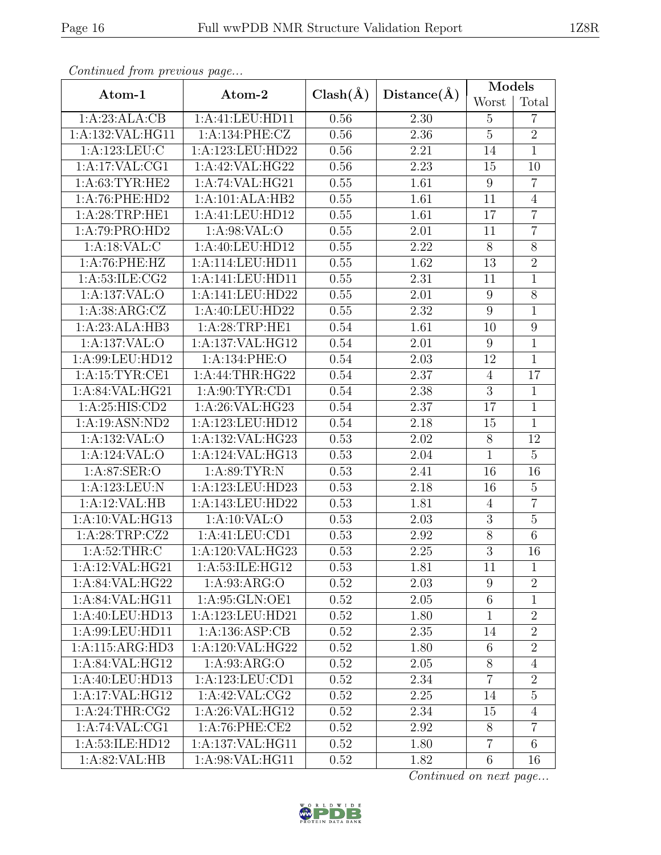| Continuea from previous page<br>Atom-1<br>Atom-2 |                     |              |                   | Models           |                  |
|--------------------------------------------------|---------------------|--------------|-------------------|------------------|------------------|
|                                                  |                     | $Clash(\AA)$ | Distance(A)       |                  | Total            |
| 1:A:23:ALA:CB                                    | 1:A:41:LEU:HD11     | 0.56         | 2.30              | $\overline{5}$   | $\overline{7}$   |
| 1:A:132:VAL:HG11                                 | 1:A:134:PHE:CZ      | 0.56         | 2.36              | $\overline{5}$   | $\overline{2}$   |
| 1:A:123:LEU:C                                    | 1:A:123:LEU:HD22    | 0.56         | $2.21\,$          | 14               | $\mathbf{1}$     |
| 1:A:17:VAL:CG1                                   | 1:A:42:VAL:HG22     | 0.56         | $\overline{2.23}$ | 15               | 10               |
| 1: A:63:TYR:HE2                                  | 1:A:74:VAL:HG21     | 0.55         | 1.61              | $\boldsymbol{9}$ | $\overline{7}$   |
| 1:A:76:PHE:HD2                                   | 1:A:101:ALA:HB2     | 0.55         | 1.61              | 11               | $\overline{4}$   |
| 1:A:28:TRP:HE1                                   | 1:A:41:LEU:HD12     |              | 1.61              | 17               | $\overline{7}$   |
| 1:A:79:PRO:HD2                                   | 1: A:98: VAL:O      | 0.55         | 2.01              | 11               | $\overline{7}$   |
| 1:A:18:VAL:CC                                    | 1:A:40:LEU:HD12     | 0.55         | 2.22              | $\overline{8}$   | $\overline{8}$   |
| 1:A:76:PHE:HZ                                    | 1:A:114:LEU:HD11    | 0.55         | 1.62              | 13               | $\overline{2}$   |
| 1: A:53: ILE: CG2                                | 1:A:141:LEU:HD11    | 0.55         | $\overline{2.31}$ | 11               | $\overline{1}$   |
| 1:A:137:VAL:O                                    | 1:A:141:LEU:HD22    | 0.55         | 2.01              | 9                | $\overline{8}$   |
| 1: A:38: ARG: CZ                                 | 1:A:40:LEU:HD22     | 0.55         | 2.32              | $\boldsymbol{9}$ | $\overline{1}$   |
| 1:A:23:ALA:HB3                                   | 1:A:28:TRP:HE1      | 0.54         | 1.61              | 10               | $\boldsymbol{9}$ |
| 1:A:137:VAL:O                                    | 1:A:137:VAL:HG12    | 0.54         | 2.01              | 9                | $\mathbf{1}$     |
| 1:A:99:LEU:HD12                                  | 1:A:134:PHE:O       | 0.54         | 2.03              | 12               | $\overline{1}$   |
| 1:A:15:TYR:CE1<br>1:A:44:THR:HG22                |                     | 0.54         | 2.37              | $\overline{4}$   | 17               |
| 1:A:84:VAL:HG21                                  | 1: A:90: TYR: CD1   | 0.54         | 2.38              | $\overline{3}$   | $\mathbf{1}$     |
| 1:A:25:HIS:CD2                                   | 1:A:26:VAL:HG23     | 0.54         | 2.37              | 17               | $\overline{1}$   |
| 1:A:19:ASN:ND2                                   | 1:A:123:LEU:HD12    | 0.54         | 2.18              | 15               | $\mathbf{1}$     |
| 1:A:132:VAL:O                                    | 1:A:132:VAL:HG23    | 0.53         | 2.02              | $8\,$            | 12               |
| 1:A:124:VAL:O                                    | 1:A:124:VAL:HG13    | 0.53         | $2.04\,$          | $\mathbf{1}$     | $\overline{5}$   |
| 1:A:87:SER:O                                     | 1:A:89:TYR:N        | 0.53         | 2.41              | 16               | 16               |
| 1:A:123:LEU:N                                    | 1:A:123:LEU:HD23    | 0.53         | 2.18              | 16               | $\overline{5}$   |
| 1:A:12:VAL:HB                                    | 1:A:143:LEU:HD22    | 0.53         | 1.81              | $\overline{4}$   | $\overline{7}$   |
| 1:A:10:VAL:HG13                                  | 1:A:10:VAL:O        | 0.53         | $\overline{2}.03$ | $\overline{3}$   | $\overline{5}$   |
| 1:A:28:TRP:CZ2                                   | 1: A: 41: LEU: CD1  | 0.53         | 2.92              | $8\,$            | $\,6$            |
| 1: A:52:THR: C                                   | 1:A:120:VAL:HG23    | 0.53         | $\overline{2.25}$ | $\overline{3}$   | $\overline{16}$  |
| 1:A:12:VAL:HG21                                  | 1:A:53:ILE:HG12     | 0.53         | 1.81              | 11               | 1                |
| 1:A:84:VAL:HG22                                  | 1: A:93: ARG:O      | 0.52         | 2.03              | $9\phantom{.0}$  | $\overline{2}$   |
| 1:A:84:VAL:HG11                                  | 1:A:95:GLN:OE1      | 0.52         | 2.05              | $6\,$            | $\mathbf{1}$     |
| 1:A:40:LEU:HD13                                  | 1:A:123:LEU:HD21    | 0.52         | 1.80              | $\mathbf{1}$     | $\overline{2}$   |
| 1:A:99:LEU:HD11                                  | 1: A: 136: ASP: CB  | 0.52         | 2.35              | 14               | $\overline{2}$   |
| 1:A:115:ARG:HD3                                  | 1:A:120:VAL:HG22    | 0.52         | 1.80              | $6\phantom{.}6$  | $\overline{2}$   |
| 1:A:84:VAL:HG12                                  | 1: A:93: ARG:O      | 0.52         | 2.05              | $8\,$            | $\overline{4}$   |
| 1:A:40:LEU:HD13                                  | 1: A: 123: LEU: CD1 | 0.52         | 2.34              | $\overline{7}$   | $\overline{2}$   |
| 1:A:17:VAL:HG12                                  | 1: A:42: VAL:CG2    | 0.52         | 2.25              | 14               | $\overline{5}$   |
| 1: A:24:THR:CG2                                  | 1:A:26:VAL:HG12     | 0.52         | 2.34              | 15               | $\overline{4}$   |
| 1:A:74:VAL:CG1                                   | 1: A:76: PHE:CE2    | 0.52         | 2.92              | 8                | $\overline{7}$   |
| 1:A:53:ILE:HD12                                  | 1:A:137:VAL:HG11    | 0.52         | 1.80              | $\overline{7}$   | 6                |
| 1: A:82:VAL:HB                                   | 1: A:98: VAL: HG11  | 0.52         | 1.82              | $6\,$            | 16               |

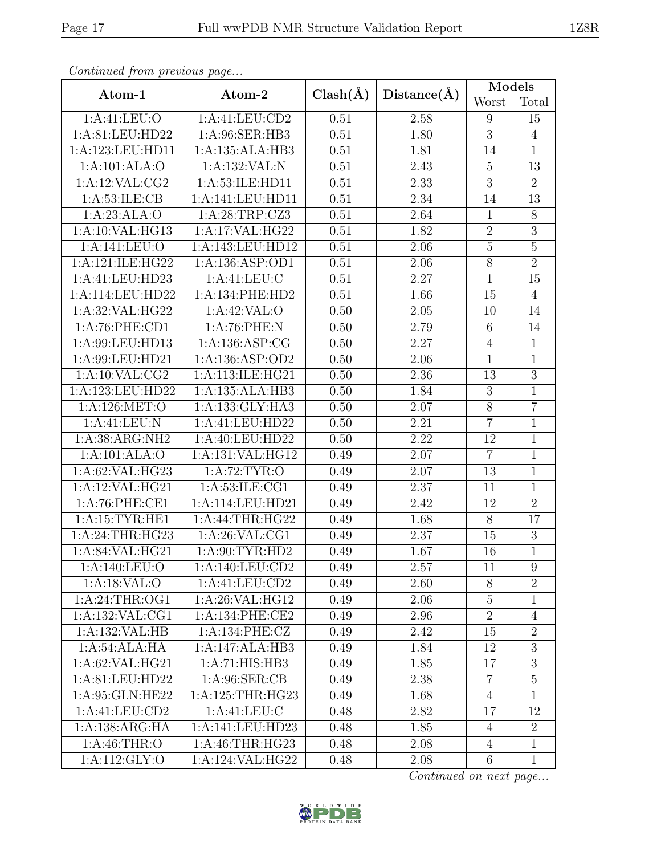| Contentaca from precious page       |                   |              |                   | Models          |                 |  |
|-------------------------------------|-------------------|--------------|-------------------|-----------------|-----------------|--|
| Atom-1                              | Atom-2            | $Clash(\AA)$ | Distance(A)       | Worst           | Total           |  |
| 1: A:41: LEU:O                      | 1:A:41:LEU:CD2    | 0.51         | 2.58              | 9               | 15              |  |
| 1:A:81:LEU:HD22                     | 1: A:96: SER: HB3 | 0.51         | 1.80              | $\overline{3}$  | $\overline{4}$  |  |
| 1:A:123:LEU:HD11                    | 1:A:135:ALA:HB3   | 0.51         | 1.81              | 14              | $\mathbf{1}$    |  |
| 1:A:101:ALA:O                       | 1:A:132:VAL:N     | 0.51         | 2.43              | $5\,$           | 13              |  |
| 1:A:12:VAL:CG2                      | 1:A:53:ILE:HD11   | 0.51         | 2.33              | $\overline{3}$  | $\overline{2}$  |  |
| 1: A:53: ILE: CB                    | 1:A:141:LEU:HD11  | 0.51         | 2.34              | 14              | 13              |  |
| 1:A:23:ALA:O                        | 1:A:28:TRP:CZ3    | 0.51         | 2.64              | $\mathbf{1}$    | $8\,$           |  |
| 1: A:10: VAL: HG13                  | 1:A:17:VAL:HG22   | 0.51         | 1.82              | $\sqrt{2}$      | $\overline{3}$  |  |
| 1: A:141:LEU:O                      | 1:A:143:LEU:HD12  | 0.51         | 2.06              | $\bf 5$         | $\overline{5}$  |  |
| 1:A:121:ILE:HG22                    | 1:A:136:ASP:OD1   | 0.51         | 2.06              | $\overline{8}$  | $\overline{2}$  |  |
| 1:A:41:LEU:HD23                     | 1:A:41:LEU:C      | 0.51         | $\overline{2.27}$ | $\overline{1}$  | $\overline{15}$ |  |
| 1:A:114:LEU:HD22                    | 1: A:134: PHE:HD2 | 0.51         | 1.66              | 15              | $\overline{4}$  |  |
| 1:A:32:VAL:HG22                     | 1:A:42:VAL:O      | 0.50         | 2.05              | 10              | 14              |  |
| 1: A:76: PHE:CD1                    | 1:A:76:PHE:N      | 0.50         | 2.79              | $6\phantom{.}6$ | 14              |  |
| 1:A:99:LEU:HD13                     | 1:A:136:ASP:CG    | 0.50         | 2.27              | $\overline{4}$  | $\mathbf{1}$    |  |
| 1:A:99:LEU:HD21                     | 1:A:136:ASP:OD2   | 0.50         | 2.06              | $\mathbf{1}$    | $\overline{1}$  |  |
| 1:A:10:VAL:CG2                      | 1:A:113:ILE:HG21  | 0.50         | 2.36              | 13              | $\overline{3}$  |  |
| 1:A:123:LEU:HD22<br>1:A:135:ALA:HB3 |                   | 0.50         | 1.84              | $\sqrt{3}$      | $\overline{1}$  |  |
| 1:A:126:MET:O                       | 1:A:133:GLY:HA3   | 0.50         | $2.07\,$          | $8\,$           | $\overline{7}$  |  |
| 1:A:41:LEU:N                        | 1:A:41:LEU:HD22   | 0.50         | 2.21              | $\overline{7}$  | $\mathbf{1}$    |  |
| 1:A:38:ARG:NH2                      | 1:A:40:LEU:HD22   | 0.50         | 2.22              | 12              | $\mathbf{1}$    |  |
| 1:A:101:ALA:O                       | 1:A:131:VAL:HG12  | 0.49         | 2.07              | $\overline{7}$  | $\mathbf 1$     |  |
| 1:A:62:VAL:HG23                     | 1:A:72:TYR:O      | 0.49         | 2.07              | 13              | $\mathbf{1}$    |  |
| 1:A:12:VAL:HG21                     | 1:A:53:ILE:CG1    | 0.49         | 2.37              | 11              | $\overline{1}$  |  |
| 1:A:76:PHE:CE1                      | 1:A:114:LEU:HD21  | 0.49         | 2.42              | 12              | $\overline{2}$  |  |
| 1:A:15:TYR:HE1                      | 1:A:44:THR:HG22   | 0.49         | 1.68              | $\overline{8}$  | $\overline{17}$ |  |
| 1: A:24:THR:HG23                    | 1:A:26:VAL:CG1    | 0.49         | 2.37              | 15              | $\sqrt{3}$      |  |
| 1: A:84:VAL:HG21                    | 1: A:90: TYR: HD2 | 0.49         | 1.67              | 16              | $\overline{1}$  |  |
| 1:A:140:LEU:O                       | 1:A:140:LEU:CD2   | 0.49         | 2.57              | 11              | 9               |  |
| 1:A:18:VAL:O                        | 1:A:41:LEU:CD2    | 0.49         | 2.60              | $8\,$           | $\overline{2}$  |  |
| 1:A:24:THR:OG1                      | 1:A:26:VAL:HG12   | 0.49         | 2.06              | $\overline{5}$  | 1               |  |
| 1:A:132:VAL:CG1                     | 1:A:134:PHE:CE2   | 0.49         | 2.96              | $\overline{2}$  | $\overline{4}$  |  |
| 1:A:132:VAL:HB                      | 1:A:134:PHE:CZ    | 0.49         | 2.42              | 15              | $\overline{2}$  |  |
| 1:A:54:ALA:HA                       | 1:A:147:ALA:HB3   | 0.49         | 1.84              | 12              | 3               |  |
| 1:A:62:VAL:HG21                     | 1:A:71:HIS:HB3    | 0.49         | 1.85              | 17              | $\overline{3}$  |  |
| 1:A:81:LEU:HD22                     | 1: A:96: SER:CB   | 0.49         | 2.38              | $\overline{7}$  | $\overline{5}$  |  |
| 1:A:95:GLN:HE22                     | 1:A:125:THR:HG23  | 0.49         | 1.68              | $\overline{4}$  | 1               |  |
| 1:A:41:LEU:CD2                      | 1:A:41:LEU:C      | 0.48         | 2.82              | 17              | 12              |  |
| 1:A:138:ARG:HA                      | 1:A:141:LEU:HD23  | 0.48         | 1.85              | $\overline{4}$  | $\overline{2}$  |  |
| 1: A:46:THR:O                       | 1: A:46:THR:HG23  | 0.48         | 2.08              | $\overline{4}$  | $\mathbf{1}$    |  |
| 1:A:112:GLY:O                       | 1:A:124:VAL:HG22  | 0.48         | 2.08              | $6\phantom{.}6$ | $\mathbf{1}$    |  |

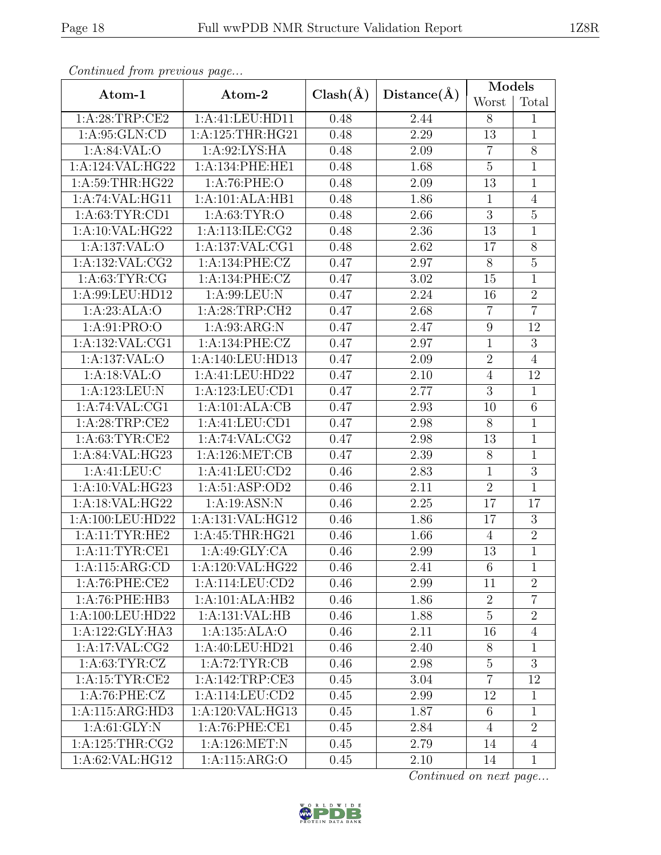| Continual from previous page |                     |              |             | Models           |                |
|------------------------------|---------------------|--------------|-------------|------------------|----------------|
| Atom-1                       | Atom-2              | $Clash(\AA)$ | Distance(A) | Worst            | Total          |
| 1: A:28:TRP:CE2              | 1:A:41:LEU:HD11     | 0.48         | 2.44        | 8                | 1              |
| 1:A:95:GLN:CD                | 1:A:125:THR:HG21    | 0.48         | 2.29        | 13               | $\mathbf{1}$   |
| 1:A:84:VAL:O                 | 1: A:92: LYS: HA    | 0.48         | 2.09        | $\overline{7}$   | $\overline{8}$ |
| 1:A:124:VAL:HG22             | 1:A:134:PHE:HE1     | 0.48         | 1.68        | $\overline{5}$   | $\mathbf 1$    |
| 1: A:59:THR:HG22             | 1: A:76: PHE:O      | 0.48         | 2.09        | 13               | $\mathbf{1}$   |
| 1:A:74:VAL:HG11              | 1:A:101:ALA:HB1     | 0.48         | 1.86        | $\mathbf{1}$     | $\overline{4}$ |
| 1: A:63:TYR:CD1              | 1: A:63:TYR:O       | 0.48         | 2.66        | $\overline{3}$   | $\overline{5}$ |
| 1:A:10:VAL:HG22              | 1:A:113:ILE:CG2     | 0.48         | 2.36        | 13               | $\mathbf{1}$   |
| 1:A:137:VAL:O                | 1: A: 137: VAL: CG1 | 0.48         | 2.62        | 17               | $\overline{8}$ |
| $1:$ A:132:VAL:CG2           | 1:A:134:PHE:CZ      | 0.47         | 2.97        | $8\phantom{.}$   | $\bf 5$        |
| 1: A:63:TYR:CG               | 1:A:134:PHE:CZ      | 0.47         | $3.02\,$    | 15               | $\mathbf{1}$   |
| 1:A:99:LEU:HD12              | 1:A:99:LEU:N        | 0.47         | 2.24        | 16               | $\overline{2}$ |
| 1:A:23:ALA:O                 | 1: A:28:TRP:CH2     | 0.47         | 2.68        | $\overline{7}$   | $\overline{7}$ |
| 1:A:91:PRO:O                 | 1: A:93: ARG:N      | 0.47         | 2.47        | $\boldsymbol{9}$ | 12             |
| 1:A:132:VAL:CG1              | 1:A:134:PHE:CZ      | 0.47         | 2.97        | $\mathbf{1}$     | $\overline{3}$ |
| 1:A:137:VAL:O                | 1:A:140:LEU:HD13    | 0.47         | 2.09        | $\sqrt{2}$       | $\overline{4}$ |
| 1:A:18:VAL:O                 | 1:A:41:LEU:HD22     | 0.47         | 2.10        | $\overline{4}$   | 12             |
| 1:A:123:LEU:N                | 1:A:123:LEU:CD1     | 0.47         | 2.77        | $\overline{3}$   | $\mathbf{1}$   |
| 1:A:74:VAL:CG1               | 1:A:101:ALA:CB      | 0.47         | 2.93        | 10               | $\overline{6}$ |
| 1: A:28:TRP:CE2              | 1:A:41:LEU:CD1      | 0.47         | 2.98        | 8                | $\mathbf{1}$   |
| 1: A:63:TYR:CE2              | 1:A:74:VAL:CG2      | 0.47         | 2.98        | 13               | $\mathbf{1}$   |
| 1:A:84:VAL:HG23              | 1:A:126:MET:CB      | 0.47         | 2.39        | $8\,$            | $\mathbf{1}$   |
| 1: A: 41: LEU: C             | 1:A:41:LEU:CD2      | 0.46         | 2.83        | $\mathbf 1$      | $\overline{3}$ |
| 1:A:10:VAL:HG23              | 1: A:51: ASP:OD2    | 0.46         | 2.11        | $\overline{2}$   | $\mathbf 1$    |
| 1:A:18:VAL:HG22              | 1:A:19:ASN:N        | 0.46         | 2.25        | 17               | 17             |
| 1:A:100:LEU:HD22             | 1:A:131:VAL:HG12    | 0.46         | 1.86        | 17               | $\overline{3}$ |
| 1:A:11:TYR:HE2               | 1: A: 45: THR: HG21 | 0.46         | 1.66        | $\overline{4}$   | $\overline{2}$ |
| 1: A:11:TYR:CE1              | 1:A:49:GLY:CA       | 0.46         | 2.99        | $\overline{13}$  | $\overline{1}$ |
| 1:A:115:ARG:CD               | 1:A:120:VAL:HG22    | 0.46         | 2.41        | $6\phantom{.}6$  | 1              |
| 1:A:76:PHE:CE2               | 1:A:114:LEU:CD2     | 0.46         | 2.99        | 11               | $\overline{2}$ |
| 1:A:76:PHE:HB3               | 1:A:101:ALA:HB2     | 0.46         | 1.86        | $\overline{2}$   | $\overline{7}$ |
| 1:A:100:LEU:HD22             | 1:A:131:VAL:HB      | 0.46         | 1.88        | $\overline{5}$   | $\overline{2}$ |
| 1:A:122:GLY:HA3              | 1:A:135:ALA:O       | 0.46         | 2.11        | 16               | $\overline{4}$ |
| 1:A:17:VAL:CG2               | 1:A:40:LEU:HD21     | 0.46         | 2.40        | 8                | 1              |
| 1: A:63:TYR:CZ               | 1:A:72:TYR:CB       | 0.46         | 2.98        | $5\,$            | $\overline{3}$ |
| 1:A:15:TYR:CE2               | 1:A:142:TRP:CE3     | 0.45         | 3.04        | $\overline{7}$   | 12             |
| 1: A:76: PHE: CZ             | 1: A:114: LEU: CD2  | 0.45         | 2.99        | 12               | $\mathbf{1}$   |
| 1:A:115:ARG:HD3              | 1:A:120:VAL:HG13    | 0.45         | 1.87        | 6                | $\mathbf{1}$   |
| 1: A:61: GLY:N               | 1:A:76:PHE:CE1      | 0.45         | 2.84        | $\overline{4}$   | $\overline{2}$ |
| 1:A:125:THR:CG2              | 1:A:126:MET:N       | 0.45         | 2.79        | 14               | $\overline{4}$ |
| 1:A:62:VAL:HG12              | 1:A:115:ARG:O       | 0.45         | 2.10        | 14               | $\mathbf{1}$   |

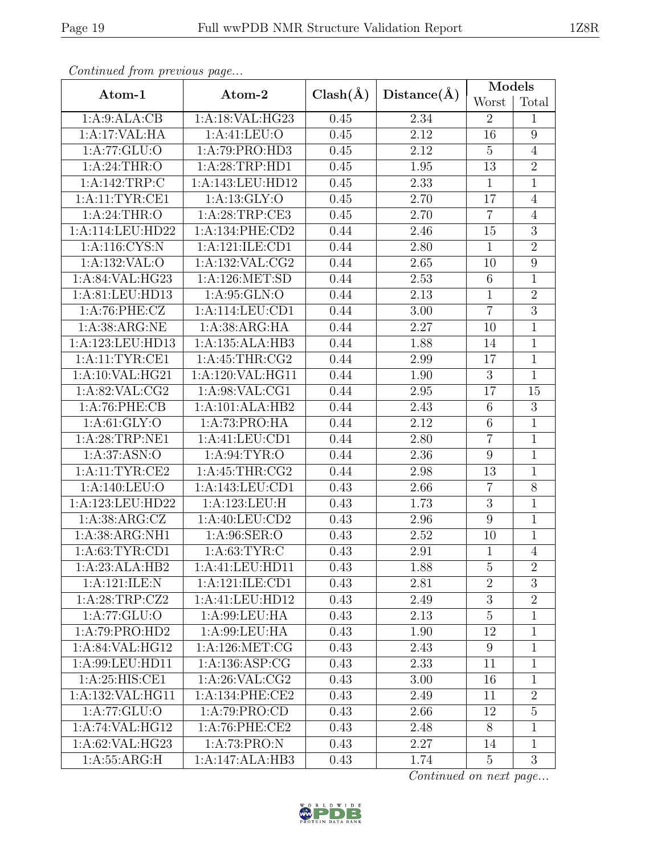| Convenaca from previous page           |                   |              |                   | Models           |                  |  |
|----------------------------------------|-------------------|--------------|-------------------|------------------|------------------|--|
| Atom-1                                 | Atom-2            | $Clash(\AA)$ | Distance(A)       | Worst            | Total            |  |
| 1:A:9:ALA:CB                           | 1: A:18: VAL:HG23 | 0.45         | 2.34              | $\overline{2}$   | 1                |  |
| 1:A:17:VAL:HA                          | 1:A:41:LEU:O      | 0.45         | 2.12              | 16               | $\boldsymbol{9}$ |  |
| $1:A:77:\overline{GLU:O}$              | 1:A:79:PRO:HD3    | 0.45         | 2.12              | $\overline{5}$   | $\overline{4}$   |  |
| 1: A:24:THR:O                          | 1: A:28:TRP:HD1   | 0.45         | 1.95              | 13               | $\overline{2}$   |  |
| 1:A:142:TRP:C                          | 1:A:143:LEU:HD12  | 0.45         | 2.33              | $\,1\,$          | $\mathbf{1}$     |  |
| 1:A:11:TYR:CE1                         | 1:A:13:GLY:O      | 0.45         | 2.70              | 17               | $\overline{4}$   |  |
| 1:A:24:THR:O                           | 1:A:28:TRP:CE3    | 0.45         | 2.70              | $\overline{7}$   | $\overline{4}$   |  |
| 1:A:114:LEU:HD22                       | 1:A:134:PHE:CD2   | 0.44         | 2.46              | 15               | $\overline{3}$   |  |
| 1: A:116: CYS:N                        | 1:A:121:ILE:CD1   | 0.44         | 2.80              | $\overline{1}$   | $\overline{2}$   |  |
| 1:A:132:VAL:O                          | 1:A:132:VAL:CG2   | 0.44         | 2.65              | 10               | $\boldsymbol{9}$ |  |
| 1:A:84:VAL:HG23                        | 1:A:126:MET:SD    | 0.44         | 2.53              | $6\,$            | $\mathbf{1}$     |  |
| 1: A:81: LEU:HD13                      | 1: A:95: GLN:O    | 0.44         | 2.13              | $\mathbf{1}$     | $\overline{2}$   |  |
| 1:A:76:PHE:CZ                          | 1:A:114:LEU:CD1   | 0.44         | 3.00              | $\overline{7}$   | $\overline{3}$   |  |
| 1: A:38: ARG:NE                        | 1: A:38: ARG:HA   | 0.44         | 2.27              | 10               | $\mathbf 1$      |  |
| 1:A:123:LEU:HD13                       | 1:A:135:ALA:HB3   | 0.44         | 1.88              | 14               | $\mathbf{1}$     |  |
| 1:A:11:TYR:CE1                         | 1:A:45:THR:CG2    | 0.44         | 2.99              | 17               | $\overline{1}$   |  |
| 1: A:10: VAL: HG21                     | 1:A:120:VAL:HG11  | 0.44         | 1.90              | 3                | $\mathbf{1}$     |  |
| 1: A:82: VAL:CG2                       | 1:A:98:VAL:CG1    | 0.44         | 2.95              | 17               | 15               |  |
| $1:A:76:$ PHE: $CB$<br>1:A:101:ALA:HB2 |                   | 0.44         | 2.43              | 6                | $\overline{3}$   |  |
| 1: A:61: GLY:O                         | 1:A:73:PRO:HA     | 0.44         | 2.12              | $6\,$            | $\mathbf{1}$     |  |
| 1:A:28:TRP:NE1                         | 1:A:41:LEU:CD1    | 0.44         | 2.80              | $\overline{7}$   | $\mathbf{1}$     |  |
| 1: A:37: ASN:O                         | 1: A:94:TYR:O     | 0.44         | 2.36              | $\boldsymbol{9}$ | $\mathbf{1}$     |  |
| 1:A:11:TYR:CE2                         | 1:A:45:THR:CG2    | 0.44         | 2.98              | 13               | $\mathbf{1}$     |  |
| 1:A:140:LEU:O                          | 1:A:143:LEU:CD1   | 0.43         | 2.66              | $\overline{7}$   | $\overline{8}$   |  |
| 1:A:123:LEU:HD22                       | 1:A:123:LEU:H     | 0.43         | 1.73              | $\sqrt{3}$       | $\mathbf{1}$     |  |
| 1: A:38: ARG: CZ                       | 1: A:40: LEU:CD2  | 0.43         | $\overline{2.96}$ | $\boldsymbol{9}$ | $\overline{1}$   |  |
| 1:A:38:ARG:NH1                         | 1: A:96: SER:O    | 0.43         | 2.52              | 10               | $\mathbf{1}$     |  |
| 1: A:63: TYR:CD1                       | 1: A:63:TYR:C     | 0.43         | 2.91              | $\overline{1}$   | $\overline{4}$   |  |
| 1:A:23:ALA:HB2                         | 1:A:41:LEU:HD11   | 0.43         | 1.88              | $\overline{5}$   | $\overline{2}$   |  |
| 1:A:121:ILE:N                          | 1:A:121:ILE:CD1   | 0.43         | 2.81              | $\overline{2}$   | $\overline{3}$   |  |
| 1:A:28:TRP:CZ2                         | 1:A:41:LEU:HD12   | 0.43         | 2.49              | $\overline{3}$   | $\overline{2}$   |  |
| 1:A:77:GLU:O                           | 1:A:99:LEU:HA     | 0.43         | 2.13              | $\overline{5}$   | $\mathbf{1}$     |  |
| 1:A:79:PRO:HD2                         | 1: A:99: LEU: HA  | 0.43         | 1.90              | 12               | $\mathbf{1}$     |  |
| 1:A:84:VAL:HG12                        | 1:A:126:MET:CG    | 0.43         | 2.43              | 9                | $\mathbf{1}$     |  |
| 1:A:99:LEU:HD11                        | 1:A:136:ASP:CG    | 0.43         | 2.33              | 11               | $\mathbf{1}$     |  |
| 1:A:25:HIS:CE1                         | 1: A:26: VAL:CG2  | 0.43         | 3.00              | 16               | $\mathbf{1}$     |  |
| 1:A:132:VAL:HG11                       | 1: A:134: PHE:CE2 | 0.43         | 2.49              | 11               | $\overline{2}$   |  |
| 1:A:77:GLU:O                           | 1:A:79:PRO:CD     | 0.43         | 2.66              | 12               | $\overline{5}$   |  |
| 1:A:74:VAL:HG12                        | 1:A:76:PHE:CE2    | 0.43         | 2.48              | 8                | 1                |  |
| 1:A:62:VAL:HG23                        | 1:A:73:PRO:N      | 0.43         | 2.27              | 14               | $\mathbf{1}$     |  |
| 1: A: 55: ARG: H                       | 1:A:147:ALA:HB3   | 0.43         | 1.74              | $\overline{5}$   | $\overline{3}$   |  |

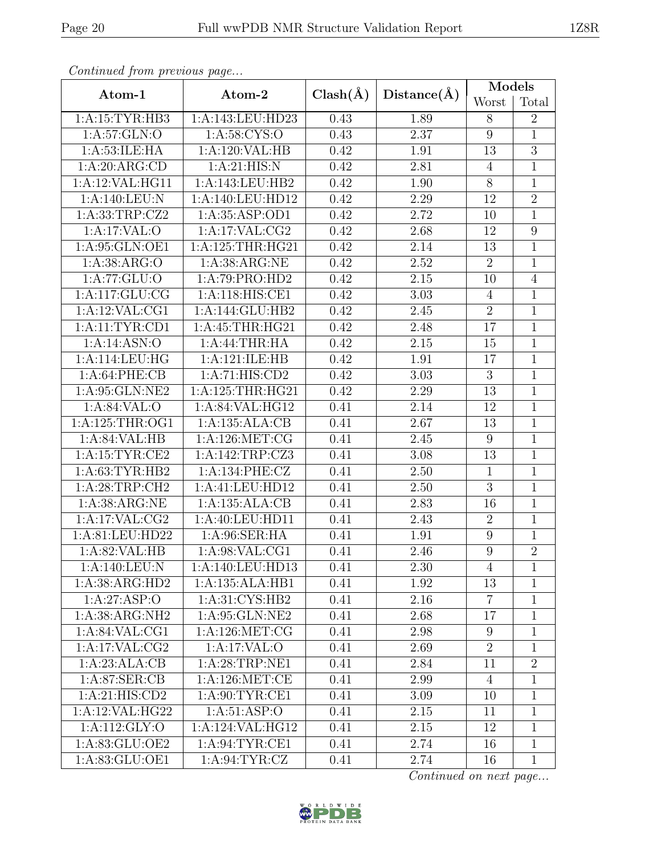| Continued from previous page       |                     |                             |                   | Models          |                  |  |
|------------------------------------|---------------------|-----------------------------|-------------------|-----------------|------------------|--|
| Atom-1                             | Atom-2              | $Clash(\AA)$<br>Distance(A) |                   | Worst           | Total            |  |
| 1:A:15:TYR:HB3                     | 1:A:143:LEU:HD23    | 0.43                        | 1.89              | 8               | $\overline{2}$   |  |
| 1: A:57: GLN:O                     | 1:A:58:CYS:O        | 0.43                        | 2.37              | $9\phantom{.0}$ | $\overline{1}$   |  |
| 1: A:53: ILE: HA                   | 1:A:120:VAL:HB      | 0.42                        | 1.91              | 13              | $\overline{3}$   |  |
| 1:A:20:ARG:CD                      | 1: A:21: HIS: N     | 0.42                        | 2.81              | $\overline{4}$  | $\mathbf{1}$     |  |
| 1:A:12:VAL:HE11                    | 1:A:143:LEU:HB2     | 0.42                        | 1.90              | 8               | $\mathbf{1}$     |  |
| 1:A:140:LEU:N                      | 1:A:140:LEU:HD12    | 0.42                        | 2.29              | 12              | $\overline{2}$   |  |
| 1: A: 33: TRP: CZ2                 | 1:A:35:ASP:OD1      |                             | 2.72              | 10              | $\mathbf{1}$     |  |
| 1:A:17:VAL:O                       | 1:A:17:VAL:CG2      | 0.42                        | 2.68              | 12              | $\boldsymbol{9}$ |  |
| 1:A:95:GLN:OE1                     | 1:A:125:THR:HG21    | 0.42                        | 2.14              | 13              | $\overline{1}$   |  |
| 1: A: 38: ARG: O                   | 1: A:38: ARG:NE     | 0.42                        | 2.52              | $\overline{2}$  | $\mathbf{1}$     |  |
| 1:A:77:GLU:O                       | 1:A:79:PRO:HD2      | 0.42                        | $\overline{2.15}$ | 10              | $\overline{4}$   |  |
| 1:A:117:GLU:CG                     | 1:A:118:HIS:CE1     | 0.42                        | 3.03              | $\overline{4}$  | $\mathbf{1}$     |  |
| 1:A:12:VAL:CG1                     | 1:A:144:GLU:HB2     | 0.42                        | 2.45              | $\overline{2}$  | $\overline{1}$   |  |
| 1:A:11:TYR:CD1                     | 1: A: 45: THR: HG21 | 0.42                        | 2.48              | 17              | $\mathbf{1}$     |  |
| 1:A:14:ASN:O                       | 1:A:44:THR:HA       | 0.42                        | 2.15              | 15              | $\overline{1}$   |  |
| 1:A:114:LEU:HG<br>1:A:121:ILE:HB   |                     | 0.42                        | 1.91              | 17              | $\mathbf{1}$     |  |
| 1:A:64:PHE:CB<br>1:A:71:HIS:CD2    |                     | 0.42                        | 3.03              | $\sqrt{3}$      | $\overline{1}$   |  |
| 1:A:95:GLN:NE2<br>1:A:125:THR:HG21 |                     | 0.42                        | 2.29              | 13              | $\mathbf{1}$     |  |
| 1:A:84:VAL:O                       | 1:A:84:VAL:HG12     | 0.41                        | 2.14              | 12              | $\overline{1}$   |  |
| 1: A:125:THR:OG1                   | 1:A:135:ALA:CB      | 0.41                        | 2.67              | 13              | $\mathbf{1}$     |  |
| 1:A:84:VAL:HB                      | 1:A:126:MET:CG      | 0.41                        | 2.45              | $9\phantom{.0}$ | $\overline{1}$   |  |
| 1:A:15:TYR:CE2                     | 1:A:142:TRP:CZ3     | 0.41                        | 3.08              | 13              | $\mathbf{1}$     |  |
| 1:A:63:TYR:HB2                     | 1:A:134:PHE:CZ      | 0.41                        | 2.50              | $\mathbf{1}$    | $\overline{1}$   |  |
| 1: A:28:TRP:CH2                    | 1:A:41:LEU:HD12     | 0.41                        | 2.50              | $\overline{3}$  | $\overline{1}$   |  |
| 1: A:38: ARG:NE                    | 1:A:135:ALA:CB      | 0.41                        | 2.83              | 16              | $\overline{1}$   |  |
| 1:A:17:VAL:CG2                     | 1:A:40:LEU:HDI1     | 0.41                        | 2.43              | $\sqrt{2}$      | $\mathbf 1$      |  |
| 1:A:81:LEU:HD22                    | 1: A:96: SER: HA    | 0.41                        | 1.91              | 9               | 1                |  |
| 1:A:82:VAL:HB                      | 1: A:98: VAL:CG1    | 0.41                        | $\overline{2}.46$ | 9               | $\overline{2}$   |  |
| 1:A:140:LEU:N                      | 1:A:140:LEU:HD13    | 0.41                        | 2.30              | $\overline{4}$  | $\mathbf{1}$     |  |
| 1: A: 38: ARG: HD2                 | 1:A:135:ALA:HB1     | 0.41                        | 1.92              | 13              | $\mathbf{1}$     |  |
| 1:A:27:ASP:O                       | 1:A:31:CYS:HB2      | 0.41                        | 2.16              | $\overline{7}$  | $\mathbf{1}$     |  |
| 1:A:38:ARG:NH2                     | 1:A:95:GLN:NE2      | 0.41                        | 2.68              | 17              | $\mathbf{1}$     |  |
| 1:A:84:VAL:CG1                     | 1: A: 126: MET: CG  | 0.41                        | 2.98              | 9               | 1                |  |
| 1:A:17:VAL:CG2                     | 1:A:17:VAL:O        | 0.41                        | 2.69              | $\overline{2}$  | $\mathbf{1}$     |  |
| 1:A:23:ALA:CB                      | 1:A:28:TRP:NE1      | 0.41                        | 2.84              | 11              | $\overline{2}$   |  |
| 1: A:87: SER:CB                    | 1: A:126: MET:CE    | 0.41                        | 2.99              | $\overline{4}$  | 1                |  |
| 1:A:21:HIS:CD2                     | 1: A:90: TYR: CE1   | 0.41                        | 3.09              | 10              | 1                |  |
| 1:A:12:VAL:HG22                    | 1: A:51: ASP:O      | 0.41                        | 2.15              | 11              | $\mathbf{1}$     |  |
| 1:A:112:GLY:O                      | 1:A:124:VAL:HG12    | 0.41                        | 2.15              | 12              | $\mathbf{1}$     |  |
| 1:A:83:GLU:OE2                     | 1:A:94:TYR:CE1      | 0.41                        | 2.74              | 16              | $\overline{1}$   |  |
| 1:A:83:GLU:OE1                     | 1: A:94:TYR: CZ     | 0.41                        | 2.74              | 16              | $\mathbf{1}$     |  |

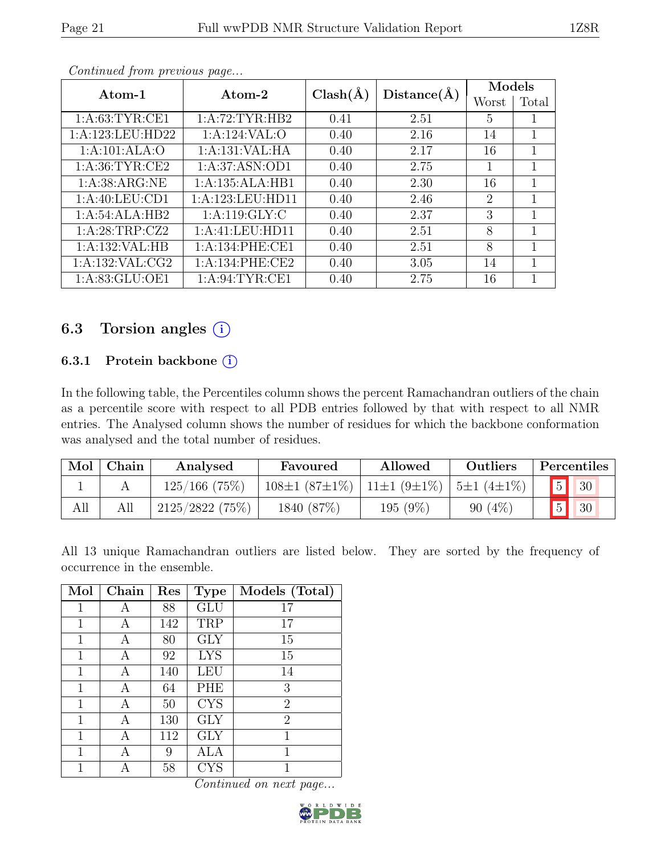| Atom-1                          | Atom-2            |              |             | Models         |       |  |
|---------------------------------|-------------------|--------------|-------------|----------------|-------|--|
|                                 |                   | $Clash(\AA)$ | Distance(A) | Worst          | Total |  |
| 1: A:63:TYR:CE1                 | 1:A:72:TYR:HB2    | 0.41         | 2.51        | 5              |       |  |
| 1:A:123:LEU:HD22                | 1:A:124:VAL:O     | 0.40         | 2.16        | 14             | 1     |  |
| 1:A:101:ALA:O<br>1:A:131:VAL:HA |                   | 0.40         | 2.17        | 16             | 1     |  |
| 1: A:36:TYR:CE2                 | 1: A:37: ASN:OD1  | 0.40         | 2.75        | $\mathbf{1}$   | 1     |  |
| 1: A: 38: ARG: NE               | 1:A:135:ALA:HB1   | 0.40         | 2.30        | 16             | 1     |  |
| 1: A:40:LEU:CD1                 | 1:A:123:LEU:HD11  | 0.40         | 2.46        | $\overline{2}$ | 1     |  |
| 1:A:54:ALA:HB2                  | 1: A:119: GLY: C  | 0.40         | 2.37        | 3              | 1     |  |
| 1:A:28:TRP:CZ2                  | 1:A:41:LEU:HD11   | 0.40         | 2.51        | 8              | 1     |  |
| 1:A:132:VAL:HB                  | 1: A:134: PHE:CE1 | 0.40         | 2.51        | 8              | 1     |  |
| 1: A: 132: VAL: CG2             | 1: A:134: PHE:CE2 | 0.40         | 3.05        | 14             | 1     |  |
| 1:A:83:GLU:OE1                  | 1: A:94:TYR:CE1   | 0.40         | 2.75        | 16             |       |  |

## 6.3 Torsion angles (i)

## 6.3.1 Protein backbone  $(i)$

In the following table, the Percentiles column shows the percent Ramachandran outliers of the chain as a percentile score with respect to all PDB entries followed by that with respect to all NMR entries. The Analysed column shows the number of residues for which the backbone conformation was analysed and the total number of residues.

| Mol | Chain | Analysed           | Favoured            | Allowed           | Outliers          | Percentiles           |
|-----|-------|--------------------|---------------------|-------------------|-------------------|-----------------------|
|     |       | $125/166$ (75%)    | $108\pm1(87\pm1\%)$ | $11\pm1(9\pm1\%)$ | $15\pm1(4\pm1\%)$ | 30                    |
| All | All   | $2125/2822$ (75\%) | 1840 (87\%)         | 195 (9%)          | 90(4%             | 5 <sup>1</sup><br> 30 |

All 13 unique Ramachandran outliers are listed below. They are sorted by the frequency of occurrence in the ensemble.

| Mol | Chain | Res | <b>Type</b> | Models (Total) |
|-----|-------|-----|-------------|----------------|
| 1   | А     | 88  | <b>GLU</b>  | 17             |
| 1   | Α     | 142 | TRP         | 17             |
| 1   | Α     | 80  | <b>GLY</b>  | 15             |
| 1   | А     | 92  | <b>LYS</b>  | 15             |
| 1   | А     | 140 | LEU         | 14             |
| 1   | А     | 64  | PHE         | 3              |
| 1   | А     | 50  | <b>CYS</b>  | $\overline{2}$ |
| 1   | А     | 130 | <b>GLY</b>  | $\overline{2}$ |
| 1   | А     | 112 | <b>GLY</b>  | 1              |
| 1   |       | 9   | ALA         | 1              |
| 1   |       | 58  | <b>CYS</b>  |                |

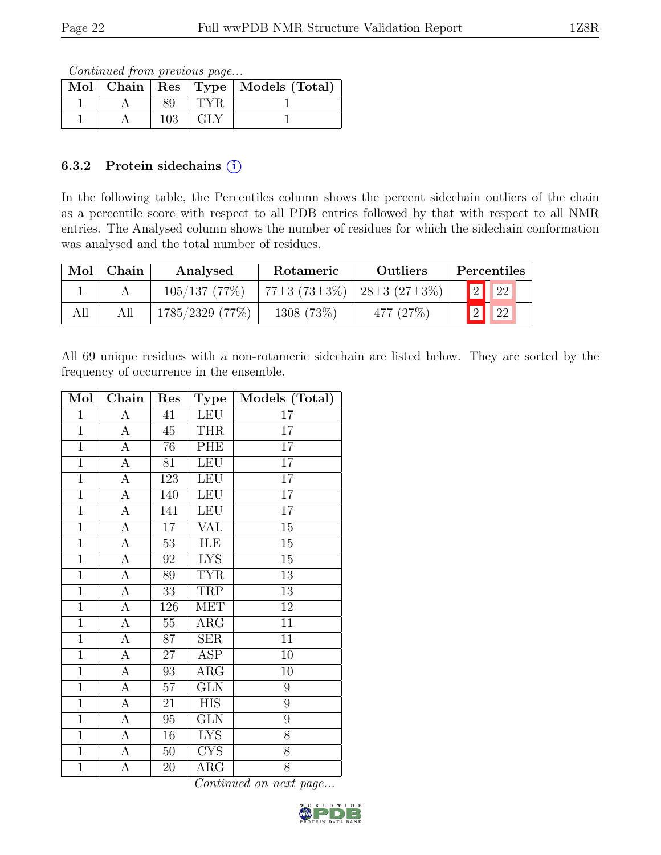Continued from previous page...

|  |     |     | Mol   Chain   Res   Type   Models (Total) |
|--|-----|-----|-------------------------------------------|
|  | 89  | TYR |                                           |
|  | 103 | GLY |                                           |

### 6.3.2 Protein sidechains  $(i)$

In the following table, the Percentiles column shows the percent sidechain outliers of the chain as a percentile score with respect to all PDB entries followed by that with respect to all NMR entries. The Analysed column shows the number of residues for which the sidechain conformation was analysed and the total number of residues.

| Mol | Chain | Analysed           | Rotameric                   | <b>Outliers</b> | Percentiles    |             |  |
|-----|-------|--------------------|-----------------------------|-----------------|----------------|-------------|--|
|     |       | 105/137(77%)       | 77±3 (73±3%)   28±3 (27±3%) |                 | 2              | $\sqrt{22}$ |  |
| All |       | $1785/2329$ (77\%) | 1308 (73\%)                 | 477 (27\%)      | $\mathbf{V}_2$ | $\mid$ 22   |  |

All 69 unique residues with a non-rotameric sidechain are listed below. They are sorted by the frequency of occurrence in the ensemble.

| Mol            | Chain            | Res    | <b>Type</b>             | Models (Total)  |
|----------------|------------------|--------|-------------------------|-----------------|
| $\mathbf{1}$   | А                | 41     | LEU                     | 17              |
| $\overline{1}$ | $\mathbf{A}$     | 45     | <b>THR</b>              | 17              |
| $\overline{1}$ | А                | 76     | PHE                     | $\overline{17}$ |
| $\overline{1}$ | $\overline{A}$   | 81     | <b>LEU</b>              | 17              |
| $\overline{1}$ | $\boldsymbol{A}$ | 123    | LEU                     | 17              |
| $\overline{1}$ | $\overline{A}$   | 140    | <b>LEU</b>              | $\overline{17}$ |
| $\mathbf{1}$   | $\boldsymbol{A}$ | 141    | <b>LEU</b>              | $\overline{17}$ |
| $\mathbf{1}$   | $\overline{A}$   | 17     | VAL                     | 15              |
| $\mathbf{1}$   | A                | 53     | ILE                     | 15              |
| $\mathbf{1}$   | $\boldsymbol{A}$ | 92     | <b>LYS</b>              | 15              |
| $\overline{1}$ | $\boldsymbol{A}$ | 89     | <b>TYR</b>              | 13              |
| $\overline{1}$ | A                | 33     | TRP                     | 13              |
| $\overline{1}$ | $\overline{A}$   | 126    | $\overline{\text{MET}}$ | $\overline{12}$ |
| $\overline{1}$ | $\boldsymbol{A}$ | $55\,$ | $\rm{ARG}$              | 11              |
| $\overline{1}$ | $\overline{A}$   | 87     | <b>SER</b>              | $\overline{11}$ |
| $\overline{1}$ | $\overline{A}$   | 27     | ASP                     | 10              |
| $\mathbf{1}$   | А                | 93     | $\rm{ARG}$              | 10              |
| $\mathbf{1}$   | A                | $57\,$ | <b>GLN</b>              | 9               |
| $\mathbf{1}$   | A                | 21     | <b>HIS</b>              | 9               |
| $\overline{1}$ | $\boldsymbol{A}$ | $95\,$ | $\overline{\text{GLN}}$ | $\overline{9}$  |
| $\overline{1}$ | A                | 16     | <b>LYS</b>              | 8               |
| $\overline{1}$ | $\boldsymbol{A}$ | $50\,$ | <b>CYS</b>              | 8               |
| $\overline{1}$ | $\overline{A}$   | 20     | $\rm{ARG}$              | $\overline{8}$  |

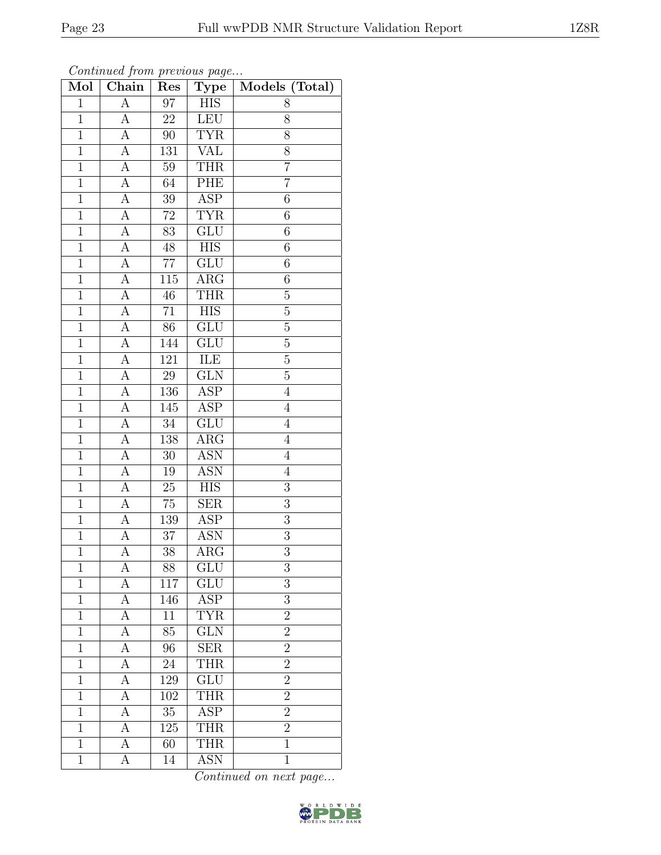| Mol            | Chain              | Res              | <b>Type</b>               | Models (Total)  |
|----------------|--------------------|------------------|---------------------------|-----------------|
| $\mathbf{1}$   | A                  | 97               | <b>HIS</b>                | 8               |
| $\mathbf{1}$   | А                  | 22               | <b>LEU</b>                | $8\,$           |
| $\overline{1}$ | $\overline{A}$     | 90               | <b>TYR</b>                | 8               |
| $\overline{1}$ | $\boldsymbol{A}$   | 131              | <b>VAL</b>                | 8               |
| $\overline{1}$ | А                  | $\overline{59}$  | <b>THR</b>                | $\overline{7}$  |
| $\mathbf{1}$   | А                  | 64               | PHE                       | $\overline{7}$  |
| $\overline{1}$ | A                  | 39               | <b>ASP</b>                | $\overline{6}$  |
| $\mathbf{1}$   | А                  | $72\,$           | <b>TYR</b>                | 6               |
| $\mathbf{1}$   | $\boldsymbol{A}$   | 83               | $\overline{\mathrm{GLU}}$ | 6               |
| $\overline{1}$ | А                  | $48\,$           | $\overline{HIS}$          | $\overline{6}$  |
| $\mathbf{1}$   | А                  | $77\,$           | GLU                       | $6\phantom{.}6$ |
| $\overline{1}$ | А                  | $11\overline{5}$ | $\overline{\text{ARG}}$   | $\,6\,$         |
| $\mathbf 1$    | A                  | 46               | <b>THR</b>                | $\overline{5}$  |
| $\overline{1}$ | A                  | $\overline{71}$  | ${\rm HIS}$               | $\bf 5$         |
| $\overline{1}$ | $\overline{A}$     | 86               | $\overline{\text{GLU}}$   | $\overline{5}$  |
| $\mathbf{1}$   | A                  | 144              | GLU                       | $\rm 5$         |
| $\mathbf{1}$   | $\overline{A}$     | 121              | ILE                       | $\overline{5}$  |
| $\mathbf{1}$   | A                  | $29\,$           | <b>GLN</b>                | $\overline{5}$  |
| $\overline{1}$ | $\overline{A}$     | 136              | ASP                       | $\overline{4}$  |
| $\overline{1}$ | $\overline{\rm A}$ | 145              | $\overline{\text{ASP}}$   | $\overline{4}$  |
| $\mathbf{1}$   | А                  | 34               | GLU                       | $\overline{4}$  |
| $\mathbf{1}$   | $\overline{A}$     | 138              | $\overline{\text{ARG}}$   | $\overline{4}$  |
| $\mathbf{1}$   | А                  | $30\,$           | <b>ASN</b>                | $\overline{4}$  |
| $\overline{1}$ | А                  | 19               | <b>ASN</b>                | $\overline{4}$  |
| $\overline{1}$ | А                  | 25               | <b>HIS</b>                | 3               |
| $\overline{1}$ | А                  | $75\,$           | <b>SER</b>                | 3               |
| $\mathbf{1}$   | А                  | 139              | $\overline{\text{ASP}}$   | $\overline{3}$  |
| $\overline{1}$ | A                  | 37               | ASN                       | $\overline{3}$  |
| $\overline{1}$ | $\overline{A}$     | $38\,$           | $\overline{\text{ARG}}$   | $\overline{3}$  |
| $\mathbf 1$    | А                  | 88               | GLU                       | 3               |
| $\mathbf{1}$   | А                  | 117              | GLU                       | 3               |
| 1              | А                  | 146              | $\overline{\text{ASP}}$   | 3               |
| $\mathbf{1}$   | А                  | $11\,$           | <b>TYR</b>                | $\overline{2}$  |
| $\mathbf{1}$   | А                  | 85               | $\overline{\text{GLN}}$   | $\overline{2}$  |
| $\mathbf{1}$   | А                  | 96               | <b>SER</b>                | $\overline{2}$  |
| 1              | А                  | 24               | <b>THR</b>                | $\overline{2}$  |
| $\mathbf{1}$   | A                  | $129\,$          | GLU                       | $\overline{2}$  |
| $\mathbf{1}$   | A                  | 102              | <b>THR</b>                | $\overline{2}$  |
| $\overline{1}$ | А                  | $\overline{35}$  | $\overline{\text{ASP}}$   | $\overline{2}$  |
| 1              | А                  | 125              | <b>THR</b>                | $\overline{2}$  |
| $\mathbf 1$    | А                  | 60               | THR                       | $\mathbf{1}$    |
| $\mathbf{1}$   | A                  | 14               | <b>ASN</b>                | $\mathbf{1}$    |

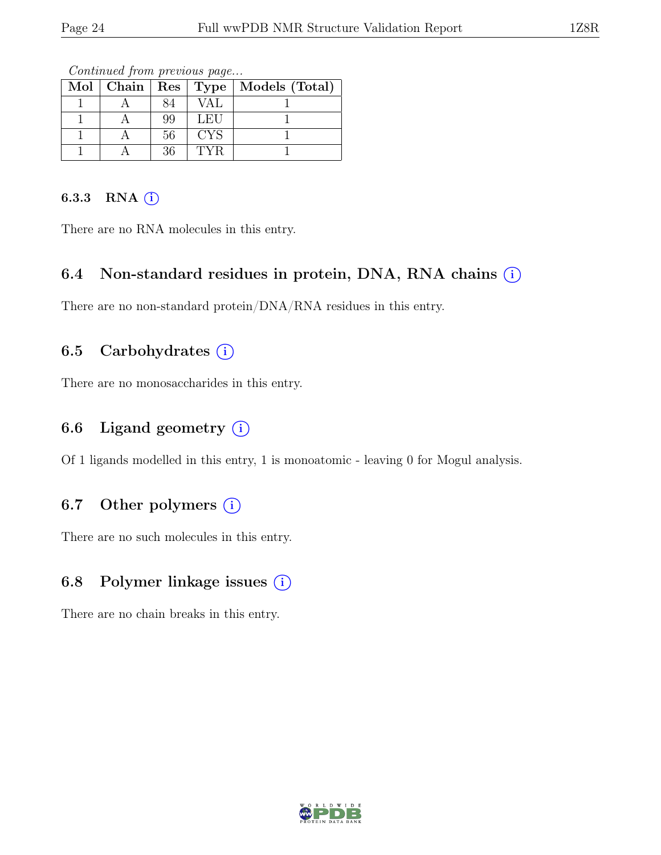|  |    |            | Mol   Chain   Res   Type   Models (Total) |
|--|----|------------|-------------------------------------------|
|  |    | VAL        |                                           |
|  | 99 | LEU        |                                           |
|  | 56 | <b>CYS</b> |                                           |
|  | 36 | <b>TYR</b> |                                           |

Continued from previous page...

#### 6.3.3 RNA  $(i)$

There are no RNA molecules in this entry.

## 6.4 Non-standard residues in protein, DNA, RNA chains  $\circ$

There are no non-standard protein/DNA/RNA residues in this entry.

## 6.5 Carbohydrates  $(i)$

There are no monosaccharides in this entry.

## 6.6 Ligand geometry  $(i)$

Of 1 ligands modelled in this entry, 1 is monoatomic - leaving 0 for Mogul analysis.

## 6.7 Other polymers  $(i)$

There are no such molecules in this entry.

## 6.8 Polymer linkage issues (i)

There are no chain breaks in this entry.